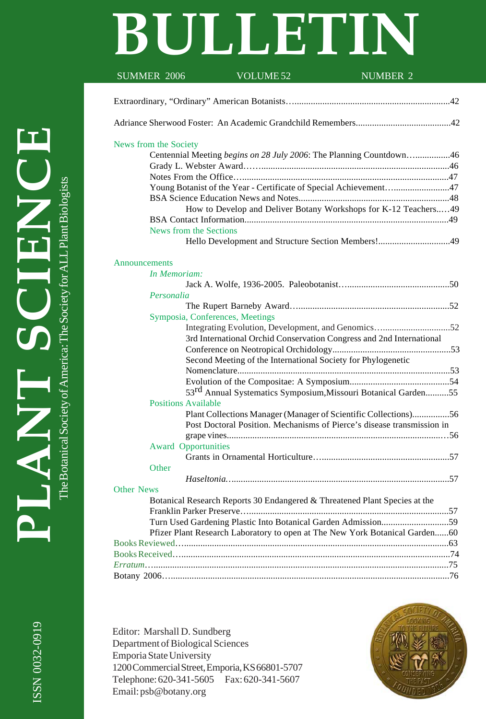# **BULLETIN**

| SUMMER 2006                | VOLUME <sub>52</sub><br><b>NUMBER 2</b>                                     |  |
|----------------------------|-----------------------------------------------------------------------------|--|
|                            |                                                                             |  |
|                            |                                                                             |  |
|                            |                                                                             |  |
| News from the Society      |                                                                             |  |
|                            | Centennial Meeting begins on 28 July 2006: The Planning Countdown46         |  |
|                            |                                                                             |  |
|                            | Young Botanist of the Year - Certificate of Special Achievement47           |  |
|                            |                                                                             |  |
|                            | How to Develop and Deliver Botany Workshops for K-12 Teachers49             |  |
|                            |                                                                             |  |
| News from the Sections     |                                                                             |  |
|                            | Hello Development and Structure Section Members!49                          |  |
|                            |                                                                             |  |
| Announcements              |                                                                             |  |
| In Memoriam:               |                                                                             |  |
|                            |                                                                             |  |
| Personalia                 |                                                                             |  |
|                            | Symposia, Conferences, Meetings                                             |  |
|                            | Integrating Evolution, Development, and Genomics52                          |  |
|                            | 3rd International Orchid Conservation Congress and 2nd International        |  |
|                            |                                                                             |  |
|                            | Second Meeting of the International Society for Phylogenetic                |  |
|                            |                                                                             |  |
|                            |                                                                             |  |
|                            | 53 <sup>rd</sup> Annual Systematics Symposium, Missouri Botanical Garden55  |  |
| <b>Positions Available</b> |                                                                             |  |
|                            | Plant Collections Manager (Manager of Scientific Collections)56             |  |
|                            | Post Doctoral Position. Mechanisms of Pierce's disease transmission in      |  |
|                            |                                                                             |  |
| <b>Award Opportunities</b> |                                                                             |  |
|                            |                                                                             |  |
| Other                      |                                                                             |  |
|                            |                                                                             |  |
| <b>Other News</b>          |                                                                             |  |
|                            | Botanical Research Reports 30 Endangered & Threatened Plant Species at the  |  |
|                            |                                                                             |  |
|                            | Turn Used Gardening Plastic Into Botanical Garden Admission59               |  |
|                            | Pfizer Plant Research Laboratory to open at The New York Botanical Garden60 |  |
|                            |                                                                             |  |
|                            |                                                                             |  |
|                            |                                                                             |  |
|                            |                                                                             |  |

Editor: Marshall D. Sundberg Department of Biological Sciences Emporia State University 1200 Commercial Street, Emporia, KS 66801-5707 Telephone: 620-341-5605 Fax: 620-341-5607 Email: psb@botany.org



**EDANT SCIENCE PLANT SCIENCE** The Botanical Society of America: The Society for ALL Plant Biologists The Botanical Society of America: The Society for ALL Plant Biologists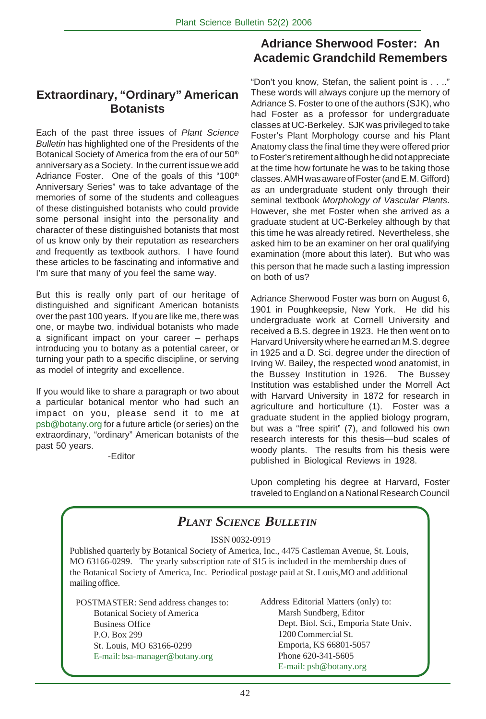#### **Extraordinary, "Ordinary" American Botanists**

Each of the past three issues of *Plant Science Bulletin* has highlighted one of the Presidents of the Botanical Society of America from the era of our 50<sup>th</sup> anniversary as a Society. In the current issue we add Adriance Foster. One of the goals of this "100th Anniversary Series" was to take advantage of the memories of some of the students and colleagues of these distinguished botanists who could provide some personal insight into the personality and character of these distinguished botanists that most of us know only by their reputation as researchers and frequently as textbook authors. I have found these articles to be fascinating and informative and I'm sure that many of you feel the same way.

But this is really only part of our heritage of distinguished and significant American botanists over the past 100 years. If you are like me, there was one, or maybe two, individual botanists who made a significant impact on your career – perhaps introducing you to botany as a potential career, or turning your path to a specific discipline, or serving as model of integrity and excellence.

If you would like to share a paragraph or two about a particular botanical mentor who had such an impact on you, please send it to me at psb@botany.org for a future article (or series) on the extraordinary, "ordinary" American botanists of the past 50 years.

-Editor

## **Adriance Sherwood Foster: An Academic Grandchild Remembers**

"Don't you know, Stefan, the salient point is . . .." These words will always conjure up the memory of Adriance S. Foster to one of the authors (SJK), who had Foster as a professor for undergraduate classes at UC-Berkeley. SJK was privileged to take Foster's Plant Morphology course and his Plant Anatomy class the final time they were offered prior to Foster's retirement although he did not appreciate at the time how fortunate he was to be taking those classes. AMH was aware of Foster (and E.M. Gifford) as an undergraduate student only through their seminal textbook *Morphology of Vascular Plants*. However, she met Foster when she arrived as a graduate student at UC-Berkeley although by that this time he was already retired. Nevertheless, she asked him to be an examiner on her oral qualifying examination (more about this later). But who was this person that he made such a lasting impression on both of us?

Adriance Sherwood Foster was born on August 6, 1901 in Poughkeepsie, New York. He did his undergraduate work at Cornell University and received a B.S. degree in 1923. He then went on to Harvard University where he earned an M.S. degree in 1925 and a D. Sci. degree under the direction of Irving W. Bailey, the respected wood anatomist, in the Bussey Institution in 1926. The Bussey Institution was established under the Morrell Act with Harvard University in 1872 for research in agriculture and horticulture (1). Foster was a graduate student in the applied biology program, but was a "free spirit" (7), and followed his own research interests for this thesis—bud scales of woody plants. The results from his thesis were published in Biological Reviews in 1928.

Upon completing his degree at Harvard, Foster traveled to England on a National Research Council

## *PLANT SCIENCE BULLETIN*

ISSN 0032-0919

Published quarterly by Botanical Society of America, Inc., 4475 Castleman Avenue, St. Louis, MO 63166-0299. The yearly subscription rate of \$15 is included in the membership dues of the Botanical Society of America, Inc. Periodical postage paid at St. Louis,MO and additional mailing office.

POSTMASTER: Send address changes to: Botanical Society of America Business Office P.O. Box 299 St. Louis, MO 63166-0299 E-mail: bsa-manager@botany.org

Address Editorial Matters (only) to: Marsh Sundberg, Editor Dept. Biol. Sci., Emporia State Univ. 1200 Commercial St. Emporia, KS 66801-5057 Phone 620-341-5605 E-mail: psb@botany.org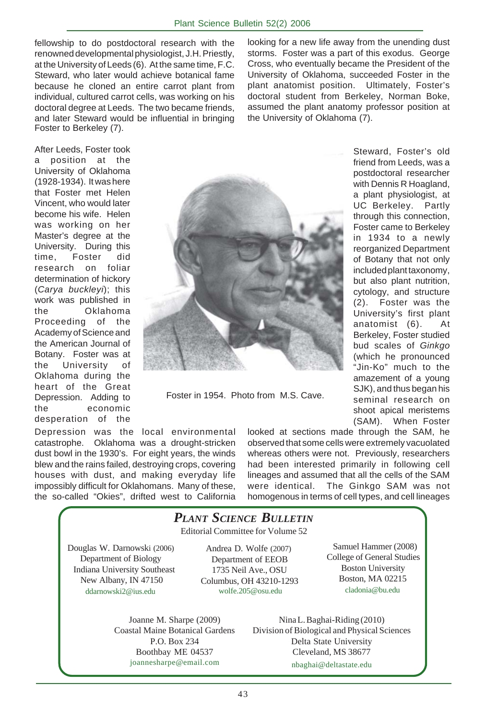fellowship to do postdoctoral research with the renowned developmental physiologist, J.H. Priestly, at the University of Leeds (6). At the same time, F.C. Steward, who later would achieve botanical fame because he cloned an entire carrot plant from individual, cultured carrot cells, was working on his doctoral degree at Leeds. The two became friends, and later Steward would be influential in bringing Foster to Berkeley (7).

looking for a new life away from the unending dust storms. Foster was a part of this exodus. George Cross, who eventually became the President of the University of Oklahoma, succeeded Foster in the plant anatomist position. Ultimately, Foster's doctoral student from Berkeley, Norman Boke, assumed the plant anatomy professor position at the University of Oklahoma (7).

> Steward, Foster's old friend from Leeds, was a postdoctoral researcher with Dennis R Hoagland, a plant physiologist, at UC Berkeley. Partly through this connection, Foster came to Berkeley in 1934 to a newly reorganized Department of Botany that not only included plant taxonomy, but also plant nutrition, cytology, and structure (2). Foster was the University's first plant anatomist (6). At Berkeley, Foster studied bud scales of *Ginkgo* (which he pronounced "Jin-Ko" much to the

After Leeds, Foster took a position at the University of Oklahoma (1928-1934). It was here that Foster met Helen Vincent, who would later become his wife. Helen was working on her Master's degree at the University. During this time, Foster did research on foliar determination of hickory (*Carya buckleyi*); this work was published in the Oklahoma Proceeding of the Academy of Science and the American Journal of Botany. Foster was at the University of Oklahoma during the heart of the Great Depression. Adding to the economic desperation of the



Foster in 1954. Photo from M.S. Cave.

Depression was the local environmental catastrophe. Oklahoma was a drought-stricken dust bowl in the 1930's. For eight years, the winds blew and the rains failed, destroying crops, covering houses with dust, and making everyday life impossibly difficult for Oklahomans. Many of these, the so-called "Okies", drifted west to California

looked at sections made through the SAM, he observed that some cells were extremely vacuolated whereas others were not. Previously, researchers had been interested primarily in following cell lineages and assumed that all the cells of the SAM were identical. The Ginkgo SAM was not homogenous in terms of cell types, and cell lineages

#### Editorial Committee for Volume 52 Joanne M. Sharpe (2009) Coastal Maine Botanical Gardens P.O. Box 234 Boothbay ME 04537 joannesharpe@email.com Nina L. Baghai-Riding (2010) Division of Biological and Physical Sciences Delta State University Cleveland, MS 38677 nbaghai@deltastate.edu *PLANT SCIENCE BULLETIN* Douglas W. Darnowski (2006) Department of Biology Indiana University Southeast New Albany, IN 47150 ddarnowski2@ius.edu Andrea D. Wolfe (2007) Department of EEOB 1735 Neil Ave., OSU Columbus, OH 43210-1293 wolfe.205@osu.edu Samuel Hammer (2008) College of General Studies Boston University Boston, MA 02215 cladonia@bu.edu

amazement of a young SJK), and thus began his seminal research on shoot apical meristems (SAM). When Foster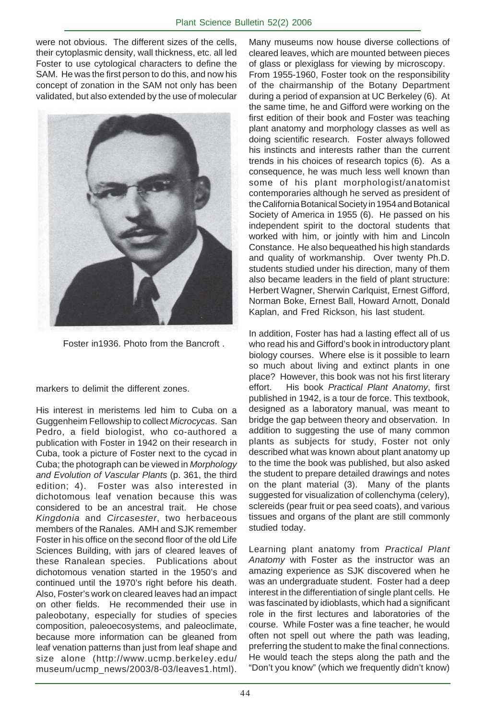were not obvious. The different sizes of the cells, their cytoplasmic density, wall thickness, etc. all led Foster to use cytological characters to define the SAM. He was the first person to do this, and now his concept of zonation in the SAM not only has been validated, but also extended by the use of molecular



Foster in1936. Photo from the Bancroft .

markers to delimit the different zones.

His interest in meristems led him to Cuba on a Guggenheim Fellowship to collect *Microcycas*. San Pedro, a field biologist, who co-authored a publication with Foster in 1942 on their research in Cuba, took a picture of Foster next to the cycad in Cuba; the photograph can be viewed in *Morphology and Evolution of Vascular Plants* (p. 361, the third edition; 4). Foster was also interested in dichotomous leaf venation because this was considered to be an ancestral trait. He chose *Kingdonia* and *Circasester*, two herbaceous members of the Ranales. AMH and SJK remember Foster in his office on the second floor of the old Life Sciences Building, with jars of cleared leaves of these Ranalean species. Publications about dichotomous venation started in the 1950's and continued until the 1970's right before his death. Also, Foster's work on cleared leaves had an impact on other fields. He recommended their use in paleobotany, especially for studies of species composition, paleoecosystems, and paleoclimate, because more information can be gleaned from leaf venation patterns than just from leaf shape and size alone (http://www.ucmp.berkeley.edu/ museum/ucmp\_news/2003/8-03/leaves1.html).

Many museums now house diverse collections of cleared leaves, which are mounted between pieces of glass or plexiglass for viewing by microscopy. From 1955-1960, Foster took on the responsibility of the chairmanship of the Botany Department during a period of expansion at UC Berkeley (6). At the same time, he and Gifford were working on the first edition of their book and Foster was teaching plant anatomy and morphology classes as well as doing scientific research. Foster always followed his instincts and interests rather than the current trends in his choices of research topics (6). As a consequence, he was much less well known than some of his plant morphologist/anatomist contemporaries although he served as president of the California Botanical Society in 1954 and Botanical Society of America in 1955 (6). He passed on his independent spirit to the doctoral students that worked with him, or jointly with him and Lincoln Constance. He also bequeathed his high standards and quality of workmanship. Over twenty Ph.D. students studied under his direction, many of them also became leaders in the field of plant structure: Herbert Wagner, Sherwin Carlquist, Ernest Gifford, Norman Boke, Ernest Ball, Howard Arnott, Donald Kaplan, and Fred Rickson, his last student.

In addition, Foster has had a lasting effect all of us who read his and Gifford's book in introductory plant biology courses. Where else is it possible to learn so much about living and extinct plants in one place? However, this book was not his first literary effort. His book *Practical Plant Anatomy*, first published in 1942, is a tour de force. This textbook, designed as a laboratory manual, was meant to bridge the gap between theory and observation. In addition to suggesting the use of many common plants as subjects for study, Foster not only described what was known about plant anatomy up to the time the book was published, but also asked the student to prepare detailed drawings and notes on the plant material (3). Many of the plants suggested for visualization of collenchyma (celery), sclereids (pear fruit or pea seed coats), and various tissues and organs of the plant are still commonly studied today.

Learning plant anatomy from *Practical Plant Anatomy* with Foster as the instructor was an amazing experience as SJK discovered when he was an undergraduate student. Foster had a deep interest in the differentiation of single plant cells. He was fascinated by idioblasts, which had a significant role in the first lectures and laboratories of the course. While Foster was a fine teacher, he would often not spell out where the path was leading, preferring the student to make the final connections. He would teach the steps along the path and the "Don't you know" (which we frequently didn't know)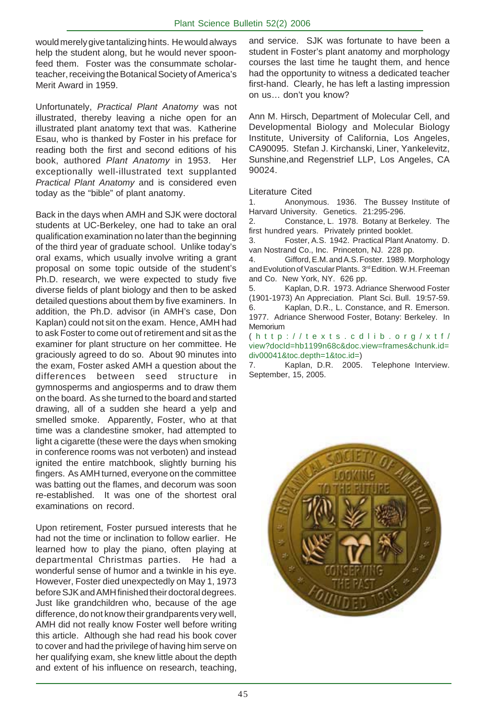would merely give tantalizing hints. He would always help the student along, but he would never spoonfeed them. Foster was the consummate scholarteacher, receiving the Botanical Society of America's Merit Award in 1959.

Unfortunately, *Practical Plant Anatomy* was not illustrated, thereby leaving a niche open for an illustrated plant anatomy text that was. Katherine Esau, who is thanked by Foster in his preface for reading both the first and second editions of his book, authored *Plant Anatomy* in 1953. Her exceptionally well-illustrated text supplanted *Practical Plant Anatomy* and is considered even today as the "bible" of plant anatomy.

Back in the days when AMH and SJK were doctoral students at UC-Berkeley, one had to take an oral qualification examination no later than the beginning of the third year of graduate school. Unlike today's oral exams, which usually involve writing a grant proposal on some topic outside of the student's Ph.D. research, we were expected to study five diverse fields of plant biology and then to be asked detailed questions about them by five examiners. In addition, the Ph.D. advisor (in AMH's case, Don Kaplan) could not sit on the exam. Hence, AMH had to ask Foster to come out of retirement and sit as the examiner for plant structure on her committee. He graciously agreed to do so. About 90 minutes into the exam, Foster asked AMH a question about the differences between seed structure in gymnosperms and angiosperms and to draw them on the board. As she turned to the board and started drawing, all of a sudden she heard a yelp and smelled smoke. Apparently, Foster, who at that time was a clandestine smoker, had attempted to light a cigarette (these were the days when smoking in conference rooms was not verboten) and instead ignited the entire matchbook, slightly burning his fingers. As AMH turned, everyone on the committee was batting out the flames, and decorum was soon re-established. It was one of the shortest oral examinations on record.

Upon retirement, Foster pursued interests that he had not the time or inclination to follow earlier. He learned how to play the piano, often playing at departmental Christmas parties. He had a wonderful sense of humor and a twinkle in his eye. However, Foster died unexpectedly on May 1, 1973 before SJK and AMH finished their doctoral degrees. Just like grandchildren who, because of the age difference, do not know their grandparents very well, AMH did not really know Foster well before writing this article. Although she had read his book cover to cover and had the privilege of having him serve on her qualifying exam, she knew little about the depth and extent of his influence on research, teaching,

and service. SJK was fortunate to have been a student in Foster's plant anatomy and morphology courses the last time he taught them, and hence had the opportunity to witness a dedicated teacher first-hand. Clearly, he has left a lasting impression on us… don't you know?

Ann M. Hirsch, Department of Molecular Cell, and Developmental Biology and Molecular Biology Institute, University of California, Los Angeles, CA90095. Stefan J. Kirchanski, Liner, Yankelevitz, Sunshine,and Regenstrief LLP, Los Angeles, CA 90024.

#### Literature Cited

1. Anonymous. 1936. The Bussey Institute of Harvard University. Genetics. 21:295-296.

2. Constance, L. 1978. Botany at Berkeley. The first hundred years. Privately printed booklet.

3. Foster, A.S. 1942. Practical Plant Anatomy. D. van Nostrand Co., Inc. Princeton, NJ. 228 pp.

4. Gifford, E.M. and A.S. Foster. 1989. Morphology and Evolution of Vascular Plants. 3<sup>rd</sup> Edition. W.H. Freeman and Co. New York, NY. 626 pp.

5. Kaplan, D.R. 1973. Adriance Sherwood Foster (1901-1973) An Appreciation. Plant Sci. Bull. 19:57-59. 6. Kaplan, D.R., L. Constance, and R. Emerson. 1977. Adriance Sherwood Foster, Botany: Berkeley. In **Memorium** 

( http://texts.cdlib.org/xtf/ view?docId=hb1199n68c&doc.view=frames&chunk.id= div00041&toc.depth=1&toc.id=)

7. Kaplan, D.R. 2005. Telephone Interview. September, 15, 2005.

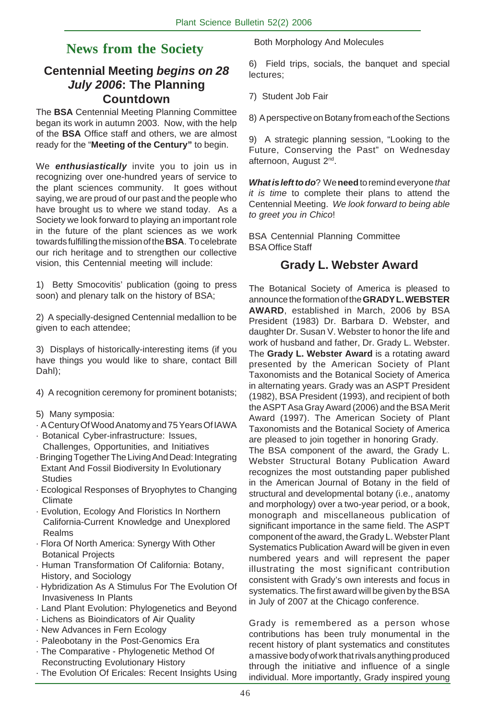## **News from the Society**

## **Centennial Meeting** *begins on 28 July 2006***: The Planning Countdown**

The **BSA** Centennial Meeting Planning Committee began its work in autumn 2003. Now, with the help of the **BSA** Office staff and others, we are almost ready for the "**Meeting of the Century"** to begin.

We *enthusiastically* invite you to join us in recognizing over one-hundred years of service to the plant sciences community. It goes without saying, we are proud of our past and the people who have brought us to where we stand today. As a Society we look forward to playing an important role in the future of the plant sciences as we work towards fulfilling the mission of the **BSA**. To celebrate our rich heritage and to strengthen our collective vision, this Centennial meeting will include:

1) Betty Smocovitis' publication (going to press soon) and plenary talk on the history of BSA;

2) A specially-designed Centennial medallion to be given to each attendee;

3) Displays of historically-interesting items (if you have things you would like to share, contact Bill Dahl);

4) A recognition ceremony for prominent botanists;

- 5) Many symposia:
- · A Century Of Wood Anatomy and 75 Years Of IAWA
- · Botanical Cyber-infrastructure: Issues, Challenges, Opportunities, and Initiatives
- · Bringing Together The Living And Dead: Integrating Extant And Fossil Biodiversity In Evolutionary **Studies**
- · Ecological Responses of Bryophytes to Changing Climate
- · Evolution, Ecology And Floristics In Northern California-Current Knowledge and Unexplored Realms
- · Flora Of North America: Synergy With Other Botanical Projects
- · Human Transformation Of California: Botany, History, and Sociology
- · Hybridization As A Stimulus For The Evolution Of Invasiveness In Plants
- · Land Plant Evolution: Phylogenetics and Beyond
- · Lichens as Bioindicators of Air Quality
- · New Advances in Fern Ecology
- · Paleobotany in the Post-Genomics Era
- · The Comparative Phylogenetic Method Of Reconstructing Evolutionary History
- · The Evolution Of Ericales: Recent Insights Using

Both Morphology And Molecules

6) Field trips, socials, the banquet and special lectures;

7) Student Job Fair

8) A perspective on Botany from each of the Sections

9) A strategic planning session, "Looking to the Future, Conserving the Past" on Wednesday afternoon, August 2<sup>nd</sup>.

*What is left to do*? We **need** to remind everyone *that it is time* to complete their plans to attend the Centennial Meeting. *We look forward to being able to greet you in Chico*!

BSA Centennial Planning Committee BSA Office Staff

## **Grady L. Webster Award**

The Botanical Society of America is pleased to announce the formation of the **GRADY L. WEBSTER AWARD**, established in March, 2006 by BSA President (1983) Dr. Barbara D. Webster, and daughter Dr. Susan V. Webster to honor the life and work of husband and father, Dr. Grady L. Webster. The **Grady L. Webster Award** is a rotating award presented by the American Society of Plant Taxonomists and the Botanical Society of America in alternating years. Grady was an ASPT President (1982), BSA President (1993), and recipient of both the ASPT Asa Gray Award (2006) and the BSA Merit Award (1997). The American Society of Plant Taxonomists and the Botanical Society of America are pleased to join together in honoring Grady.

The BSA component of the award, the Grady L. Webster Structural Botany Publication Award recognizes the most outstanding paper published in the American Journal of Botany in the field of structural and developmental botany (i.e., anatomy and morphology) over a two-year period, or a book, monograph and miscellaneous publication of significant importance in the same field. The ASPT component of the award, the Grady L. Webster Plant Systematics Publication Award will be given in even numbered years and will represent the paper illustrating the most significant contribution consistent with Grady's own interests and focus in systematics. The first award will be given by the BSA in July of 2007 at the Chicago conference.

Grady is remembered as a person whose contributions has been truly monumental in the recent history of plant systematics and constitutes a massive body of work that rivals anything produced through the initiative and influence of a single individual. More importantly, Grady inspired young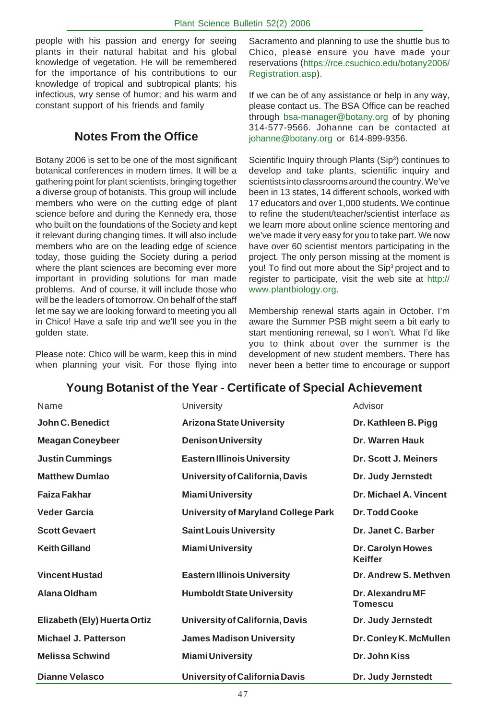people with his passion and energy for seeing plants in their natural habitat and his global knowledge of vegetation. He will be remembered for the importance of his contributions to our knowledge of tropical and subtropical plants; his infectious, wry sense of humor; and his warm and constant support of his friends and family

## **Notes From the Office**

Botany 2006 is set to be one of the most significant botanical conferences in modern times. It will be a gathering point for plant scientists, bringing together a diverse group of botanists. This group will include members who were on the cutting edge of plant science before and during the Kennedy era, those who built on the foundations of the Society and kept it relevant during changing times. It will also include members who are on the leading edge of science today, those guiding the Society during a period where the plant sciences are becoming ever more important in providing solutions for man made problems. And of course, it will include those who will be the leaders of tomorrow. On behalf of the staff let me say we are looking forward to meeting you all in Chico! Have a safe trip and we'll see you in the golden state.

Please note: Chico will be warm, keep this in mind when planning your visit. For those flying into Sacramento and planning to use the shuttle bus to Chico, please ensure you have made your reservations (https://rce.csuchico.edu/botany2006/ Registration.asp).

If we can be of any assistance or help in any way, please contact us. The BSA Office can be reached through bsa-manager@botany.org of by phoning 314-577-9566. Johanne can be contacted at johanne@botany.org or 614-899-9356.

Scientific Inquiry through Plants (Sip<sup>3</sup>) continues to develop and take plants, scientific inquiry and scientists into classrooms around the country. We've been in 13 states, 14 different schools, worked with 17 educators and over 1,000 students. We continue to refine the student/teacher/scientist interface as we learn more about online science mentoring and we've made it very easy for you to take part. We now have over 60 scientist mentors participating in the project. The only person missing at the moment is you! To find out more about the Sip<sup>3</sup> project and to register to participate, visit the web site at http:// www.plantbiology.org.

Membership renewal starts again in October. I'm aware the Summer PSB might seem a bit early to start mentioning renewal, so I won't. What I'd like you to think about over the summer is the development of new student members. There has never been a better time to encourage or support

#### **Young Botanist of the Year - Certificate of Special Achievement**

| Name                         | University                            | Advisor                             |
|------------------------------|---------------------------------------|-------------------------------------|
| John C. Benedict             | <b>Arizona State University</b>       | Dr. Kathleen B. Pigg                |
| <b>Meagan Coneybeer</b>      | <b>Denison University</b>             | Dr. Warren Hauk                     |
| <b>Justin Cummings</b>       | <b>Eastern Illinois University</b>    | Dr. Scott J. Meiners                |
| <b>Matthew Dumlao</b>        | University of California, Davis       | Dr. Judy Jernstedt                  |
| <b>Faiza Fakhar</b>          | <b>Miami University</b>               | Dr. Michael A. Vincent              |
| <b>Veder Garcia</b>          | University of Maryland College Park   | <b>Dr. Todd Cooke</b>               |
| <b>Scott Gevaert</b>         | <b>Saint Louis University</b>         | Dr. Janet C. Barber                 |
| <b>Keith Gilland</b>         | <b>Miami University</b>               | Dr. Carolyn Howes<br><b>Keiffer</b> |
| <b>Vincent Hustad</b>        | <b>Eastern Illinois University</b>    | Dr. Andrew S. Methyen               |
| Alana Oldham                 | <b>Humboldt State University</b>      | Dr. Alexandru MF<br>Tomescu         |
| Elizabeth (Ely) Huerta Ortiz | University of California, Davis       | Dr. Judy Jernstedt                  |
| <b>Michael J. Patterson</b>  | <b>James Madison University</b>       | Dr. Conley K. McMullen              |
| <b>Melissa Schwind</b>       | <b>Miami University</b>               | Dr. John Kiss                       |
| <b>Dianne Velasco</b>        | <b>University of California Davis</b> | Dr. Judy Jernstedt                  |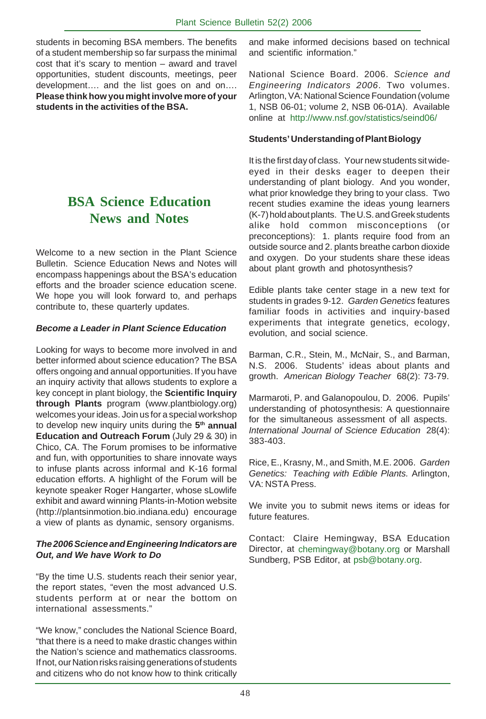students in becoming BSA members. The benefits of a student membership so far surpass the minimal cost that it's scary to mention – award and travel opportunities, student discounts, meetings, peer development…. and the list goes on and on…. **Please think how you might involve more of your students in the activities of the BSA.**

## **BSA Science Education News and Notes**

Welcome to a new section in the Plant Science Bulletin. Science Education News and Notes will encompass happenings about the BSA's education efforts and the broader science education scene. We hope you will look forward to, and perhaps contribute to, these quarterly updates.

#### *Become a Leader in Plant Science Education*

Looking for ways to become more involved in and better informed about science education? The BSA offers ongoing and annual opportunities. If you have an inquiry activity that allows students to explore a key concept in plant biology, the **Scientific Inquiry through Plants** program (www.plantbiology.org) welcomes your ideas. Join us for a special workshop to develop new inquiry units during the **5th annual Education and Outreach Forum** (July 29 & 30) in Chico, CA. The Forum promises to be informative and fun, with opportunities to share innovate ways to infuse plants across informal and K-16 formal education efforts. A highlight of the Forum will be keynote speaker Roger Hangarter, whose sLowlife exhibit and award winning Plants-in-Motion website (http://plantsinmotion.bio.indiana.edu) encourage a view of plants as dynamic, sensory organisms.

#### *The 2006 Science and Engineering Indicators are Out, and We have Work to Do*

"By the time U.S. students reach their senior year, the report states, "even the most advanced U.S. students perform at or near the bottom on international assessments."

"We know," concludes the National Science Board, "that there is a need to make drastic changes within the Nation's science and mathematics classrooms. If not, our Nation risks raising generations of students and citizens who do not know how to think critically

and make informed decisions based on technical and scientific information."

National Science Board. 2006. *Science and Engineering Indicators 2006*. Two volumes. Arlington, VA: National Science Foundation (volume 1, NSB 06-01; volume 2, NSB 06-01A). Available online at http://www.nsf.gov/statistics/seind06/

#### **Students' Understanding of Plant Biology**

It is the first day of class. Your new students sit wideeyed in their desks eager to deepen their understanding of plant biology. And you wonder, what prior knowledge they bring to your class. Two recent studies examine the ideas young learners (K-7) hold about plants. The U.S. and Greek students alike hold common misconceptions (or preconceptions): 1. plants require food from an outside source and 2. plants breathe carbon dioxide and oxygen. Do your students share these ideas about plant growth and photosynthesis?

Edible plants take center stage in a new text for students in grades 9-12. *Garden Genetics* features familiar foods in activities and inquiry-based experiments that integrate genetics, ecology, evolution, and social science.

Barman, C.R., Stein, M., McNair, S., and Barman, N.S. 2006. Students' ideas about plants and growth. *American Biology Teacher* 68(2): 73-79.

Marmaroti, P. and Galanopoulou, D. 2006. Pupils' understanding of photosynthesis: A questionnaire for the simultaneous assessment of all aspects. *International Journal of Science Education* 28(4): 383-403.

Rice, E., Krasny, M., and Smith, M.E. 2006. *Garden Genetics: Teaching with Edible Plants.* Arlington, VA: NSTA Press.

We invite you to submit news items or ideas for future features.

Contact: Claire Hemingway, BSA Education Director, at chemingway@botany.org or Marshall Sundberg, PSB Editor, at psb@botany.org.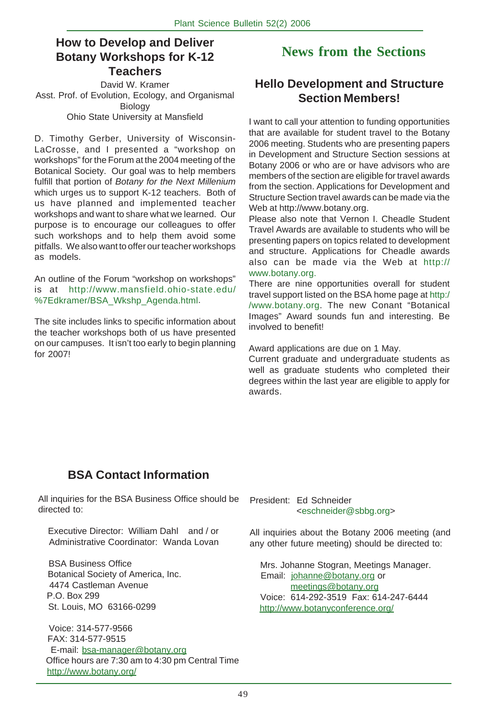#### **How to Develop and Deliver Botany Workshops for K-12 Teachers**

David W. Kramer Asst. Prof. of Evolution, Ecology, and Organismal Biology Ohio State University at Mansfield

D. Timothy Gerber, University of Wisconsin-LaCrosse, and I presented a "workshop on workshops" for the Forum at the 2004 meeting of the Botanical Society. Our goal was to help members fulfill that portion of *Botany for the Next Millenium* which urges us to support K-12 teachers. Both of us have planned and implemented teacher workshops and want to share what we learned. Our purpose is to encourage our colleagues to offer such workshops and to help them avoid some pitfalls. We also want to offer our teacher workshops as models.

An outline of the Forum "workshop on workshops" is at http://www.mansfield.ohio-state.edu/ %7Edkramer/BSA\_Wkshp\_Agenda.html.

The site includes links to specific information about the teacher workshops both of us have presented on our campuses. It isn't too early to begin planning for 2007!

## **News from the Sections**

## **Hello Development and Structure Section Members!**

I want to call your attention to funding opportunities that are available for student travel to the Botany 2006 meeting. Students who are presenting papers in Development and Structure Section sessions at Botany 2006 or who are or have advisors who are members of the section are eligible for travel awards from the section. Applications for Development and Structure Section travel awards can be made via the Web at http://www.botany.org.

Please also note that Vernon I. Cheadle Student Travel Awards are available to students who will be presenting papers on topics related to development and structure. Applications for Cheadle awards also can be made via the Web at http:// www.botany.org.

There are nine opportunities overall for student travel support listed on the BSA home page at http:/ /www.botany.org. The new Conant "Botanical Images" Award sounds fun and interesting. Be involved to benefit!

Award applications are due on 1 May.

Current graduate and undergraduate students as well as graduate students who completed their degrees within the last year are eligible to apply for awards.

## **BSA Contact Information**

All inquiries for the BSA Business Office should be directed to:

 Executive Director: William Dahl and / or Administrative Coordinator: Wanda Lovan

 BSA Business Office Botanical Society of America, Inc. 4474 Castleman Avenue P.O. Box 299 St. Louis, MO 63166-0299

 Voice: 314-577-9566 FAX: 314-577-9515 E-mail: bsa-manager@botany.org Office hours are 7:30 am to 4:30 pm Central Time http://www.botany.org/

President: Ed Schneider <eschneider@sbbg.org>

All inquiries about the Botany 2006 meeting (and any other future meeting) should be directed to:

 Mrs. Johanne Stogran, Meetings Manager. Email: johanne@botany.org or meetings@botany.org Voice: 614-292-3519 Fax: 614-247-6444 http://www.botanyconference.org/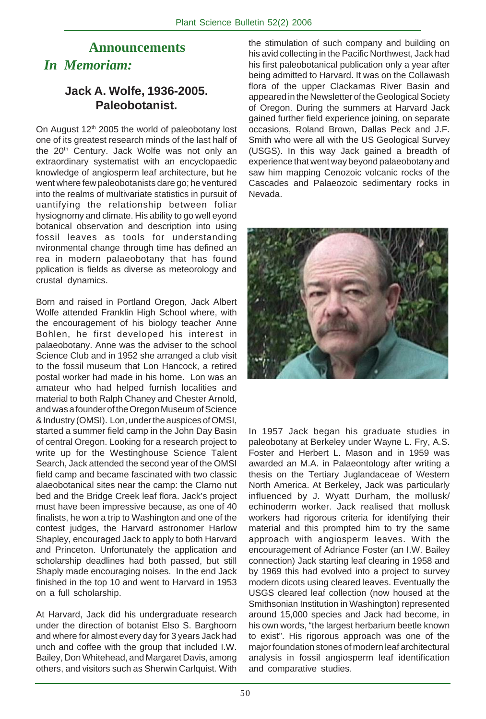## **Announcements** *In Memoriam:*

## **Jack A. Wolfe, 1936-2005. Paleobotanist.**

On August  $12<sup>th</sup>$  2005 the world of paleobotany lost one of its greatest research minds of the last half of the 20<sup>th</sup> Century. Jack Wolfe was not only an extraordinary systematist with an encyclopaedic knowledge of angiosperm leaf architecture, but he went where few paleobotanists dare go; he ventured into the realms of multivariate statistics in pursuit of uantifying the relationship between foliar hysiognomy and climate. His ability to go well eyond botanical observation and description into using fossil leaves as tools for understanding nvironmental change through time has defined an rea in modern palaeobotany that has found pplication is fields as diverse as meteorology and crustal dynamics.

Born and raised in Portland Oregon, Jack Albert Wolfe attended Franklin High School where, with the encouragement of his biology teacher Anne Bohlen, he first developed his interest in palaeobotany. Anne was the adviser to the school Science Club and in 1952 she arranged a club visit to the fossil museum that Lon Hancock, a retired postal worker had made in his home. Lon was an amateur who had helped furnish localities and material to both Ralph Chaney and Chester Arnold, and was a founder of the Oregon Museum of Science & Industry (OMSI). Lon, under the auspices of OMSI, started a summer field camp in the John Day Basin of central Oregon. Looking for a research project to write up for the Westinghouse Science Talent Search, Jack attended the second year of the OMSI field camp and became fascinated with two classic alaeobotanical sites near the camp: the Clarno nut bed and the Bridge Creek leaf flora. Jack's project must have been impressive because, as one of 40 finalists, he won a trip to Washington and one of the contest judges, the Harvard astronomer Harlow Shapley, encouraged Jack to apply to both Harvard and Princeton. Unfortunately the application and scholarship deadlines had both passed, but still Shaply made encouraging noises. In the end Jack finished in the top 10 and went to Harvard in 1953 on a full scholarship.

At Harvard, Jack did his undergraduate research under the direction of botanist Elso S. Barghoorn and where for almost every day for 3 years Jack had unch and coffee with the group that included I.W. Bailey, Don Whitehead, and Margaret Davis, among others, and visitors such as Sherwin Carlquist. With

the stimulation of such company and building on his avid collecting in the Pacific Northwest, Jack had his first paleobotanical publication only a year after being admitted to Harvard. It was on the Collawash flora of the upper Clackamas River Basin and appeared in the Newsletter of the Geological Society of Oregon. During the summers at Harvard Jack gained further field experience joining, on separate occasions, Roland Brown, Dallas Peck and J.F. Smith who were all with the US Geological Survey (USGS). In this way Jack gained a breadth of experience that went way beyond palaeobotany and saw him mapping Cenozoic volcanic rocks of the Cascades and Palaeozoic sedimentary rocks in Nevada.



In 1957 Jack began his graduate studies in paleobotany at Berkeley under Wayne L. Fry, A.S. Foster and Herbert L. Mason and in 1959 was awarded an M.A. in Palaeontology after writing a thesis on the Tertiary Juglandaceae of Western North America. At Berkeley, Jack was particularly influenced by J. Wyatt Durham, the mollusk/ echinoderm worker. Jack realised that mollusk workers had rigorous criteria for identifying their material and this prompted him to try the same approach with angiosperm leaves. With the encouragement of Adriance Foster (an I.W. Bailey connection) Jack starting leaf clearing in 1958 and by 1969 this had evolved into a project to survey modern dicots using cleared leaves. Eventually the USGS cleared leaf collection (now housed at the Smithsonian Institution in Washington) represented around 15,000 species and Jack had become, in his own words, "the largest herbarium beetle known to exist". His rigorous approach was one of the major foundation stones of modern leaf architectural analysis in fossil angiosperm leaf identification and comparative studies.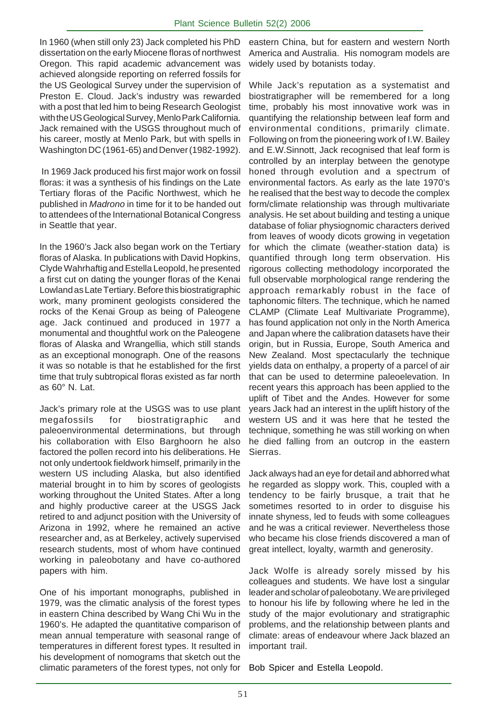In 1960 (when still only 23) Jack completed his PhD dissertation on the early Miocene floras of northwest Oregon. This rapid academic advancement was achieved alongside reporting on referred fossils for the US Geological Survey under the supervision of Preston E. Cloud. Jack's industry was rewarded with a post that led him to being Research Geologist with the US Geological Survey, Menlo Park California. Jack remained with the USGS throughout much of his career, mostly at Menlo Park, but with spells in Washington DC (1961-65) and Denver (1982-1992).

 In 1969 Jack produced his first major work on fossil floras: it was a synthesis of his findings on the Late Tertiary floras of the Pacific Northwest, which he published in *Madrono* in time for it to be handed out to attendees of the International Botanical Congress in Seattle that year.

In the 1960's Jack also began work on the Tertiary floras of Alaska. In publications with David Hopkins, Clyde Wahrhaftig and Estella Leopold, he presented a first cut on dating the younger floras of the Kenai Lowland as Late Tertiary. Before this biostratigraphic work, many prominent geologists considered the rocks of the Kenai Group as being of Paleogene age. Jack continued and produced in 1977 a monumental and thoughtful work on the Paleogene floras of Alaska and Wrangellia, which still stands as an exceptional monograph. One of the reasons it was so notable is that he established for the first time that truly subtropical floras existed as far north as 60° N. Lat.

Jack's primary role at the USGS was to use plant megafossils for biostratigraphic and paleoenvironmental determinations, but through his collaboration with Elso Barghoorn he also factored the pollen record into his deliberations. He not only undertook fieldwork himself, primarily in the western US including Alaska, but also identified material brought in to him by scores of geologists working throughout the United States. After a long and highly productive career at the USGS Jack retired to and adjunct position with the University of Arizona in 1992, where he remained an active researcher and, as at Berkeley, actively supervised research students, most of whom have continued working in paleobotany and have co-authored papers with him.

One of his important monographs, published in 1979, was the climatic analysis of the forest types in eastern China described by Wang Chi Wu in the 1960's. He adapted the quantitative comparison of mean annual temperature with seasonal range of temperatures in different forest types. It resulted in his development of nomograms that sketch out the climatic parameters of the forest types, not only for

eastern China, but for eastern and western North America and Australia. His nomogram models are widely used by botanists today.

While Jack's reputation as a systematist and biostratigrapher will be remembered for a long time, probably his most innovative work was in quantifying the relationship between leaf form and environmental conditions, primarily climate. Following on from the pioneering work of I.W. Bailey and E.W.Sinnott, Jack recognised that leaf form is controlled by an interplay between the genotype honed through evolution and a spectrum of environmental factors. As early as the late 1970's he realised that the best way to decode the complex form/climate relationship was through multivariate analysis. He set about building and testing a unique database of foliar physiognomic characters derived from leaves of woody dicots growing in vegetation for which the climate (weather-station data) is quantified through long term observation. His rigorous collecting methodology incorporated the full observable morphological range rendering the approach remarkably robust in the face of taphonomic filters. The technique, which he named CLAMP (Climate Leaf Multivariate Programme), has found application not only in the North America and Japan where the calibration datasets have their origin, but in Russia, Europe, South America and New Zealand. Most spectacularly the technique yields data on enthalpy, a property of a parcel of air that can be used to determine paleoelevation. In recent years this approach has been applied to the uplift of Tibet and the Andes. However for some years Jack had an interest in the uplift history of the western US and it was here that he tested the technique, something he was still working on when he died falling from an outcrop in the eastern Sierras.

Jack always had an eye for detail and abhorred what he regarded as sloppy work. This, coupled with a tendency to be fairly brusque, a trait that he sometimes resorted to in order to disguise his innate shyness, led to feuds with some colleagues and he was a critical reviewer. Nevertheless those who became his close friends discovered a man of great intellect, loyalty, warmth and generosity.

Jack Wolfe is already sorely missed by his colleagues and students. We have lost a singular leader and scholar of paleobotany. We are privileged to honour his life by following where he led in the study of the major evolutionary and stratigraphic problems, and the relationship between plants and climate: areas of endeavour where Jack blazed an important trail.

Bob Spicer and Estella Leopold.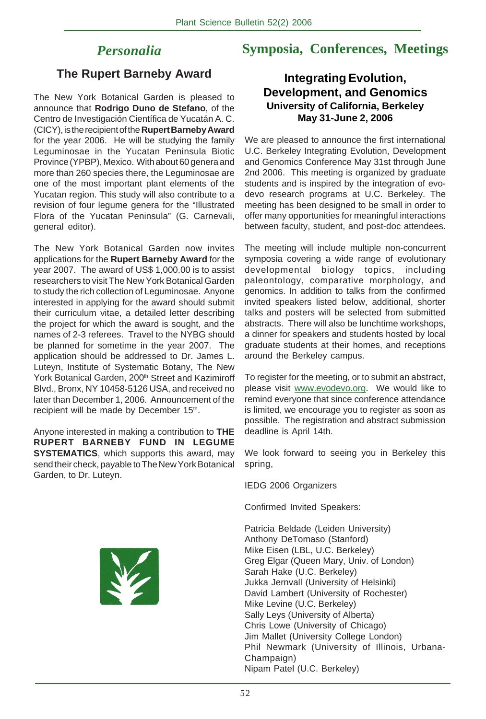## *Personalia*

## **Symposia, Conferences, Meetings**

#### **The Rupert Barneby Award**

The New York Botanical Garden is pleased to announce that **Rodrigo Duno de Stefano**, of the Centro de Investigación Científica de Yucatán A. C. (CICY), is the recipient of the **Rupert Barneby Award** for the year 2006. He will be studying the family Leguminosae in the Yucatan Peninsula Biotic Province (YPBP), Mexico. With about 60 genera and more than 260 species there, the Leguminosae are one of the most important plant elements of the Yucatan region. This study will also contribute to a revision of four legume genera for the "Illustrated Flora of the Yucatan Peninsula" (G. Carnevali, general editor).

The New York Botanical Garden now invites applications for the **Rupert Barneby Award** for the year 2007. The award of US\$ 1,000.00 is to assist researchers to visit The New York Botanical Garden to study the rich collection of Leguminosae. Anyone interested in applying for the award should submit their curriculum vitae, a detailed letter describing the project for which the award is sought, and the names of 2-3 referees. Travel to the NYBG should be planned for sometime in the year 2007. The application should be addressed to Dr. James L. Luteyn, Institute of Systematic Botany, The New York Botanical Garden, 200<sup>th</sup> Street and Kazimiroff Blvd., Bronx, NY 10458-5126 USA, and received no later than December 1, 2006. Announcement of the recipient will be made by December 15th.

Anyone interested in making a contribution to **THE RUPERT BARNEBY FUND IN LEGUME SYSTEMATICS**, which supports this award, may send their check, payable to The New York Botanical Garden, to Dr. Luteyn.



#### **Integrating Evolution, Development, and Genomics University of California, Berkeley May 31-June 2, 2006**

We are pleased to announce the first international U.C. Berkeley Integrating Evolution, Development and Genomics Conference May 31st through June 2nd 2006. This meeting is organized by graduate students and is inspired by the integration of evodevo research programs at U.C. Berkeley. The meeting has been designed to be small in order to offer many opportunities for meaningful interactions between faculty, student, and post-doc attendees.

The meeting will include multiple non-concurrent symposia covering a wide range of evolutionary developmental biology topics, including paleontology, comparative morphology, and genomics. In addition to talks from the confirmed invited speakers listed below, additional, shorter talks and posters will be selected from submitted abstracts. There will also be lunchtime workshops, a dinner for speakers and students hosted by local graduate students at their homes, and receptions around the Berkeley campus.

To register for the meeting, or to submit an abstract, please visit www.evodevo.org. We would like to remind everyone that since conference attendance is limited, we encourage you to register as soon as possible. The registration and abstract submission deadline is April 14th.

We look forward to seeing you in Berkeley this spring,

IEDG 2006 Organizers

Confirmed Invited Speakers:

Patricia Beldade (Leiden University) Anthony DeTomaso (Stanford) Mike Eisen (LBL, U.C. Berkeley) Greg Elgar (Queen Mary, Univ. of London) Sarah Hake (U.C. Berkeley) Jukka Jernvall (University of Helsinki) David Lambert (University of Rochester) Mike Levine (U.C. Berkeley) Sally Leys (University of Alberta) Chris Lowe (University of Chicago) Jim Mallet (University College London) Phil Newmark (University of Illinois, Urbana-Champaign) Nipam Patel (U.C. Berkeley)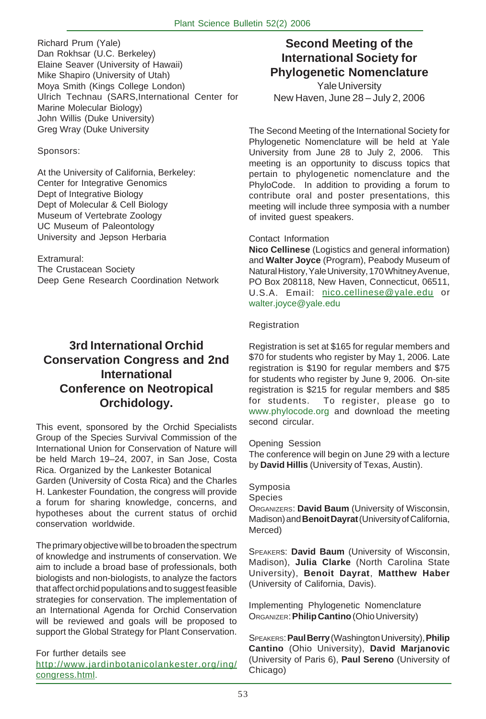Richard Prum (Yale) Dan Rokhsar (U.C. Berkeley) Elaine Seaver (University of Hawaii) Mike Shapiro (University of Utah) Moya Smith (Kings College London) Ulrich Technau (SARS,International Center for Marine Molecular Biology) John Willis (Duke University) Greg Wray (Duke University

#### Sponsors:

At the University of California, Berkeley: Center for Integrative Genomics Dept of Integrative Biology Dept of Molecular & Cell Biology Museum of Vertebrate Zoology UC Museum of Paleontology University and Jepson Herbaria

#### Extramural:

The Crustacean Society Deep Gene Research Coordination Network

## **3rd International Orchid Conservation Congress and 2nd International Conference on Neotropical Orchidology.**

This event, sponsored by the Orchid Specialists Group of the Species Survival Commission of the International Union for Conservation of Nature will be held March 19–24, 2007, in San Jose, Costa Rica. Organized by the Lankester Botanical Garden (University of Costa Rica) and the Charles H. Lankester Foundation, the congress will provide a forum for sharing knowledge, concerns, and hypotheses about the current status of orchid conservation worldwide.

The primary objective will be to broaden the spectrum of knowledge and instruments of conservation. We aim to include a broad base of professionals, both biologists and non-biologists, to analyze the factors that affect orchid populations and to suggest feasible strategies for conservation. The implementation of an International Agenda for Orchid Conservation will be reviewed and goals will be proposed to support the Global Strategy for Plant Conservation.

#### For further details see http://www.jardinbotanicolankester.org/ing/ congress.html.

## **Second Meeting of the International Society for Phylogenetic Nomenclature**

Yale University New Haven, June 28 – July 2, 2006

The Second Meeting of the International Society for Phylogenetic Nomenclature will be held at Yale University from June 28 to July 2, 2006. This meeting is an opportunity to discuss topics that pertain to phylogenetic nomenclature and the PhyloCode. In addition to providing a forum to contribute oral and poster presentations, this meeting will include three symposia with a number of invited guest speakers.

#### Contact Information

**Nico Cellinese** (Logistics and general information) and **Walter Joyce** (Program), Peabody Museum of Natural History, Yale University, 170 Whitney Avenue, PO Box 208118, New Haven, Connecticut, 06511, U.S.A. Email: nico.cellinese@yale.edu or walter.joyce@yale.edu

#### Registration

Registration is set at \$165 for regular members and \$70 for students who register by May 1, 2006. Late registration is \$190 for regular members and \$75 for students who register by June 9, 2006. On-site registration is \$215 for regular members and \$85 for students. To register, please go to www.phylocode.org and download the meeting second circular.

#### Opening Session

The conference will begin on June 29 with a lecture by **David Hillis** (University of Texas, Austin).

#### Symposia

Species

ORGANIZERS: **David Baum** (University of Wisconsin, Madison) and **Benoit Dayrat** (University of California, Merced)

SPEAKERs: **David Baum** (University of Wisconsin, Madison), **Julia Clarke** (North Carolina State University), **Benoit Dayrat**, **Matthew Haber** (University of California, Davis).

Implementing Phylogenetic Nomenclature ORGANIZER: **Philip Cantino** (Ohio University)

SPEAKERS: **Paul Berry** (Washington University), **Philip Cantino** (Ohio University), **David Marjanovic** (University of Paris 6), **Paul Sereno** (University of Chicago)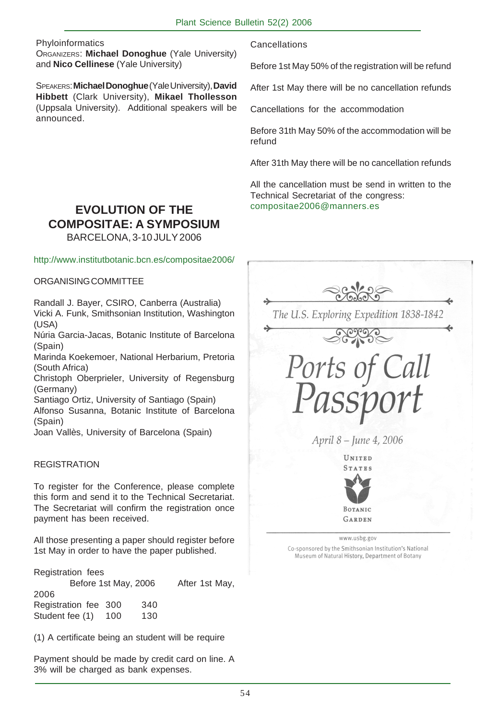**Phyloinformatics** 

ORGANIZERS: **Michael Donoghue** (Yale University) and **Nico Cellinese** (Yale University)

SPEAKERS: **Michael Donoghue** (Yale University), **David Hibbett** (Clark University), **Mikael Thollesson** (Uppsala University). Additional speakers will be announced.

**Cancellations** 

Before 1st May 50% of the registration will be refund

After 1st May there will be no cancellation refunds

Cancellations for the accommodation

Before 31th May 50% of the accommodation will be refund

After 31th May there will be no cancellation refunds

All the cancellation must be send in written to the Technical Secretariat of the congress: compositae2006@manners.es

## **EVOLUTION OF THE COMPOSITAE: A SYMPOSIUM**

BARCELONA, 3-10 JULY 2006

#### http://www.institutbotanic.bcn.es/compositae2006/

#### ORGANISING COMMITTEE

Randall J. Bayer, CSIRO, Canberra (Australia) Vicki A. Funk, Smithsonian Institution, Washington (USA)

Núria Garcia-Jacas, Botanic Institute of Barcelona (Spain)

Marinda Koekemoer, National Herbarium, Pretoria (South Africa)

Christoph Oberprieler, University of Regensburg (Germany)

Santiago Ortiz, University of Santiago (Spain)

Alfonso Susanna, Botanic Institute of Barcelona (Spain)

Joan Vallès, University of Barcelona (Spain)

#### REGISTRATION

To register for the Conference, please complete this form and send it to the Technical Secretariat. The Secretariat will confirm the registration once payment has been received.

All those presenting a paper should register before 1st May in order to have the paper published.

Registration fees Before 1st May, 2006 After 1st May, 2006 Registration fee 300 340 Student fee (1) 100 130

(1) A certificate being an student will be require

Payment should be made by credit card on line. A 3% will be charged as bank expenses.

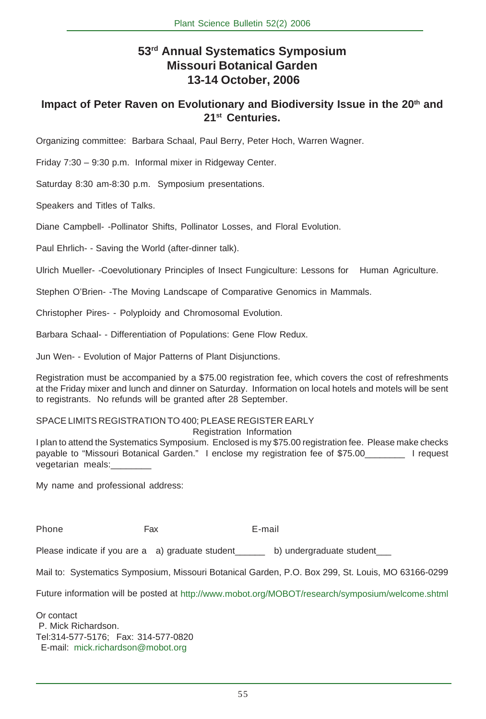## **53rd Annual Systematics Symposium Missouri Botanical Garden 13-14 October, 2006**

#### **Impact of Peter Raven on Evolutionary and Biodiversity Issue in the 20th and 21st Centuries.**

Organizing committee: Barbara Schaal, Paul Berry, Peter Hoch, Warren Wagner.

Friday 7:30 – 9:30 p.m. Informal mixer in Ridgeway Center.

Saturday 8:30 am-8:30 p.m. Symposium presentations.

Speakers and Titles of Talks.

Diane Campbell- -Pollinator Shifts, Pollinator Losses, and Floral Evolution.

Paul Ehrlich- - Saving the World (after-dinner talk).

Ulrich Mueller- -Coevolutionary Principles of Insect Fungiculture: Lessons for Human Agriculture.

Stephen O'Brien- -The Moving Landscape of Comparative Genomics in Mammals.

Christopher Pires- - Polyploidy and Chromosomal Evolution.

Barbara Schaal- - Differentiation of Populations: Gene Flow Redux.

Jun Wen- - Evolution of Major Patterns of Plant Disjunctions.

Registration must be accompanied by a \$75.00 registration fee, which covers the cost of refreshments at the Friday mixer and lunch and dinner on Saturday. Information on local hotels and motels will be sent to registrants. No refunds will be granted after 28 September.

#### SPACE LIMITS REGISTRATION TO 400; PLEASE REGISTER EARLY

Registration Information

I plan to attend the Systematics Symposium. Enclosed is my \$75.00 registration fee. Please make checks payable to "Missouri Botanical Garden." I enclose my registration fee of \$75.00\_\_\_\_\_\_\_\_ I request vegetarian meals:

My name and professional address:

Phone **Fax** E-mail

Please indicate if you are a a) graduate student b) undergraduate student

Mail to: Systematics Symposium, Missouri Botanical Garden, P.O. Box 299, St. Louis, MO 63166-0299

Future information will be posted at http://www.mobot.org/MOBOT/research/symposium/welcome.shtml

Or contact P. Mick Richardson. Tel:314-577-5176; Fax: 314-577-0820 E-mail: mick.richardson@mobot.org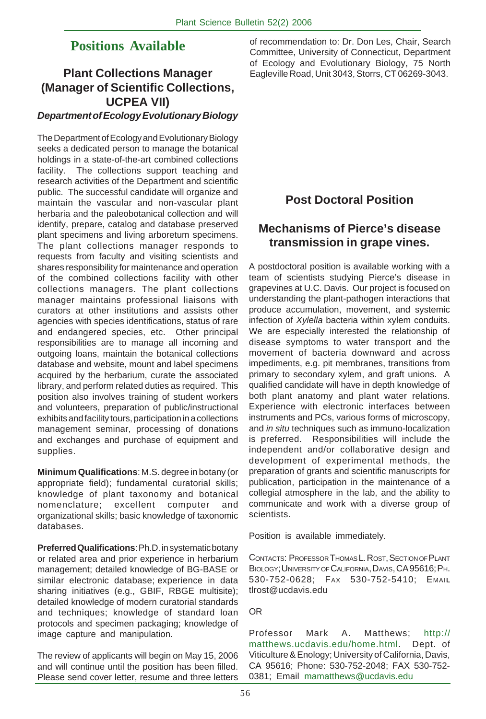## **Positions Available**

## **Plant Collections Manager (Manager of Scientific Collections, UCPEA VII)**

# *Department of Ecology Evolutionary Biology*

The Department of Ecology and Evolutionary Biology seeks a dedicated person to manage the botanical holdings in a state-of-the-art combined collections facility. The collections support teaching and research activities of the Department and scientific public. The successful candidate will organize and maintain the vascular and non-vascular plant herbaria and the paleobotanical collection and will identify, prepare, catalog and database preserved plant specimens and living arboretum specimens. The plant collections manager responds to requests from faculty and visiting scientists and shares responsibility for maintenance and operation of the combined collections facility with other collections managers. The plant collections manager maintains professional liaisons with curators at other institutions and assists other agencies with species identifications, status of rare and endangered species, etc. Other principal responsibilities are to manage all incoming and outgoing loans, maintain the botanical collections database and website, mount and label specimens acquired by the herbarium, curate the associated library, and perform related duties as required. This position also involves training of student workers and volunteers, preparation of public/instructional exhibits and facility tours, participation in a collections management seminar, processing of donations and exchanges and purchase of equipment and supplies.

**Minimum Qualifications**: M.S. degree in botany (or appropriate field); fundamental curatorial skills; knowledge of plant taxonomy and botanical nomenclature; excellent computer and organizational skills; basic knowledge of taxonomic databases.

**Preferred Qualifications**: Ph.D. in systematic botany or related area and prior experience in herbarium management; detailed knowledge of BG-BASE or similar electronic database; experience in data sharing initiatives (e.g., GBIF, RBGE multisite); detailed knowledge of modern curatorial standards and techniques; knowledge of standard loan protocols and specimen packaging; knowledge of image capture and manipulation.

The review of applicants will begin on May 15, 2006 and will continue until the position has been filled. Please send cover letter, resume and three letters of recommendation to: Dr. Don Les, Chair, Search Committee, University of Connecticut, Department of Ecology and Evolutionary Biology, 75 North Eagleville Road, Unit 3043, Storrs, CT 06269-3043.

## **Post Doctoral Position**

## **Mechanisms of Pierce's disease transmission in grape vines.**

A postdoctoral position is available working with a team of scientists studying Pierce's disease in grapevines at U.C. Davis. Our project is focused on understanding the plant-pathogen interactions that produce accumulation, movement, and systemic infection of *Xylella* bacteria within xylem conduits. We are especially interested the relationship of disease symptoms to water transport and the movement of bacteria downward and across impediments, e.g. pit membranes, transitions from primary to secondary xylem, and graft unions. A qualified candidate will have in depth knowledge of both plant anatomy and plant water relations. Experience with electronic interfaces between instruments and PCs, various forms of microscopy, and *in situ* techniques such as immuno-localization is preferred. Responsibilities will include the independent and/or collaborative design and development of experimental methods, the preparation of grants and scientific manuscripts for publication, participation in the maintenance of a collegial atmosphere in the lab, and the ability to communicate and work with a diverse group of scientists.

Position is available immediately.

CONTACTS: PROFESSOR THOMAS L. ROST, SECTIONOF PLANT BIOLOGY; UNIVERSITYOF CALIFORNIA, DAVIS, CA 95616; PH. 530-752-0628; FAX 530-752-5410; EMAI**L** tlrost@ucdavis.edu

#### OR

Professor Mark A. Matthews; http:// matthews.ucdavis.edu/home.html. Dept. of Viticulture & Enology; University of California, Davis, CA 95616; Phone: 530-752-2048; FAX 530-752- 0381; Email mamatthews@ucdavis.edu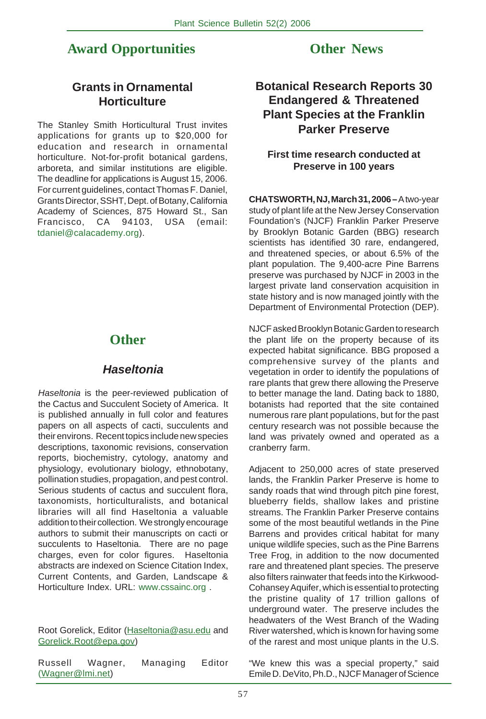## **Award Opportunities**

## **Other News**

## **Grants in Ornamental Horticulture**

The Stanley Smith Horticultural Trust invites applications for grants up to \$20,000 for education and research in ornamental horticulture. Not-for-profit botanical gardens, arboreta, and similar institutions are eligible. The deadline for applications is August 15, 2006. For current guidelines, contact Thomas F. Daniel, Grants Director, SSHT, Dept. of Botany, California Academy of Sciences, 875 Howard St., San Francisco, CA 94103, USA (email: tdaniel@calacademy.org).

## **Other**

## *Haseltonia*

*Haseltonia* is the peer-reviewed publication of the Cactus and Succulent Society of America. It is published annually in full color and features papers on all aspects of cacti, succulents and their environs. Recent topics include new species descriptions, taxonomic revisions, conservation reports, biochemistry, cytology, anatomy and physiology, evolutionary biology, ethnobotany, pollination studies, propagation, and pest control. Serious students of cactus and succulent flora, taxonomists, horticulturalists, and botanical libraries will all find Haseltonia a valuable addition to their collection. We strongly encourage authors to submit their manuscripts on cacti or succulents to Haseltonia. There are no page charges, even for color figures. Haseltonia abstracts are indexed on Science Citation Index, Current Contents, and Garden, Landscape & Horticulture Index. URL: www.cssainc.org .

Root Gorelick, Editor (Haseltonia@asu.edu and Gorelick.Root@epa.gov)

Russell Wagner, Managing Editor (Wagner@lmi.net)

## **Botanical Research Reports 30 Endangered & Threatened Plant Species at the Franklin Parker Preserve**

#### **First time research conducted at Preserve in 100 years**

**CHATSWORTH, NJ, March 31, 2006 –** A two-year study of plant life at the New Jersey Conservation Foundation's (NJCF) Franklin Parker Preserve by Brooklyn Botanic Garden (BBG) research scientists has identified 30 rare, endangered, and threatened species, or about 6.5% of the plant population. The 9,400-acre Pine Barrens preserve was purchased by NJCF in 2003 in the largest private land conservation acquisition in state history and is now managed jointly with the Department of Environmental Protection (DEP).

NJCF asked Brooklyn Botanic Garden to research the plant life on the property because of its expected habitat significance. BBG proposed a comprehensive survey of the plants and vegetation in order to identify the populations of rare plants that grew there allowing the Preserve to better manage the land. Dating back to 1880, botanists had reported that the site contained numerous rare plant populations, but for the past century research was not possible because the land was privately owned and operated as a cranberry farm.

Adjacent to 250,000 acres of state preserved lands, the Franklin Parker Preserve is home to sandy roads that wind through pitch pine forest, blueberry fields, shallow lakes and pristine streams. The Franklin Parker Preserve contains some of the most beautiful wetlands in the Pine Barrens and provides critical habitat for many unique wildlife species, such as the Pine Barrens Tree Frog, in addition to the now documented rare and threatened plant species. The preserve also filters rainwater that feeds into the Kirkwood-Cohansey Aquifer, which is essential to protecting the pristine quality of 17 trillion gallons of underground water. The preserve includes the headwaters of the West Branch of the Wading River watershed, which is known for having some of the rarest and most unique plants in the U.S.

"We knew this was a special property," said Emile D. DeVito, Ph.D., NJCF Manager of Science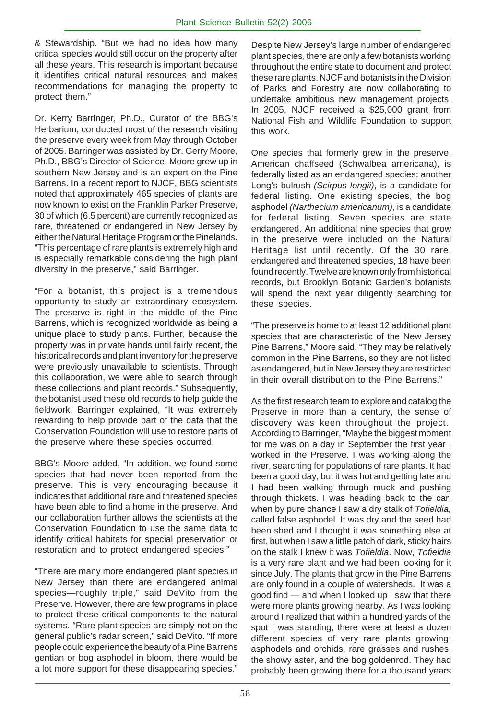& Stewardship. "But we had no idea how many critical species would still occur on the property after all these years. This research is important because it identifies critical natural resources and makes recommendations for managing the property to protect them."

Dr. Kerry Barringer, Ph.D., Curator of the BBG's Herbarium, conducted most of the research visiting the preserve every week from May through October of 2005. Barringer was assisted by Dr. Gerry Moore, Ph.D., BBG's Director of Science. Moore grew up in southern New Jersey and is an expert on the Pine Barrens. In a recent report to NJCF, BBG scientists noted that approximately 465 species of plants are now known to exist on the Franklin Parker Preserve, 30 of which (6.5 percent) are currently recognized as rare, threatened or endangered in New Jersey by either the Natural Heritage Program or the Pinelands. "This percentage of rare plants is extremely high and is especially remarkable considering the high plant diversity in the preserve," said Barringer.

"For a botanist, this project is a tremendous opportunity to study an extraordinary ecosystem. The preserve is right in the middle of the Pine Barrens, which is recognized worldwide as being a unique place to study plants. Further, because the property was in private hands until fairly recent, the historical records and plant inventory for the preserve were previously unavailable to scientists. Through this collaboration, we were able to search through these collections and plant records." Subsequently, the botanist used these old records to help guide the fieldwork. Barringer explained, "It was extremely rewarding to help provide part of the data that the Conservation Foundation will use to restore parts of the preserve where these species occurred.

BBG's Moore added, "In addition, we found some species that had never been reported from the preserve. This is very encouraging because it indicates that additional rare and threatened species have been able to find a home in the preserve. And our collaboration further allows the scientists at the Conservation Foundation to use the same data to identify critical habitats for special preservation or restoration and to protect endangered species."

"There are many more endangered plant species in New Jersey than there are endangered animal species—roughly triple," said DeVito from the Preserve. However, there are few programs in place to protect these critical components to the natural systems. "Rare plant species are simply not on the general public's radar screen," said DeVito. "If more people could experience the beauty of a Pine Barrens gentian or bog asphodel in bloom, there would be a lot more support for these disappearing species."

Despite New Jersey's large number of endangered plant species, there are only a few botanists working throughout the entire state to document and protect these rare plants. NJCF and botanists in the Division of Parks and Forestry are now collaborating to undertake ambitious new management projects. In 2005, NJCF received a \$25,000 grant from National Fish and Wildlife Foundation to support this work.

One species that formerly grew in the preserve, American chaffseed (Schwalbea americana), is federally listed as an endangered species; another Long's bulrush *(Scirpus longii)*, is a candidate for federal listing. One existing species, the bog asphodel *(Narthecium americanum)*, is a candidate for federal listing. Seven species are state endangered. An additional nine species that grow in the preserve were included on the Natural Heritage list until recently. Of the 30 rare, endangered and threatened species, 18 have been found recently. Twelve are known only from historical records, but Brooklyn Botanic Garden's botanists will spend the next year diligently searching for these species.

"The preserve is home to at least 12 additional plant species that are characteristic of the New Jersey Pine Barrens," Moore said. "They may be relatively common in the Pine Barrens, so they are not listed as endangered, but in New Jersey they are restricted in their overall distribution to the Pine Barrens."

As the first research team to explore and catalog the Preserve in more than a century, the sense of discovery was keen throughout the project. According to Barringer, "Maybe the biggest moment for me was on a day in September the first year I worked in the Preserve. I was working along the river, searching for populations of rare plants. It had been a good day, but it was hot and getting late and I had been walking through muck and pushing through thickets. I was heading back to the car, when by pure chance I saw a dry stalk of *Tofieldia,* called false asphodel. It was dry and the seed had been shed and I thought it was something else at first, but when I saw a little patch of dark, sticky hairs on the stalk I knew it was *Tofieldia*. Now, *Tofieldia* is a very rare plant and we had been looking for it since July. The plants that grow in the Pine Barrens are only found in a couple of watersheds. It was a good find — and when I looked up I saw that there were more plants growing nearby. As I was looking around I realized that within a hundred yards of the spot I was standing, there were at least a dozen different species of very rare plants growing: asphodels and orchids, rare grasses and rushes, the showy aster, and the bog goldenrod. They had probably been growing there for a thousand years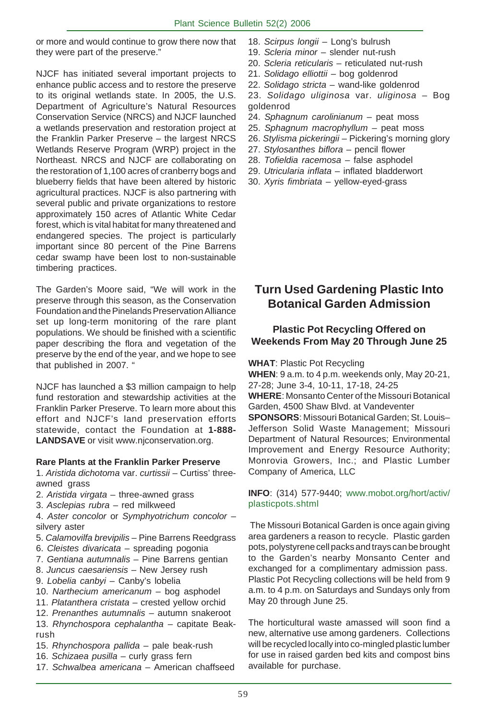or more and would continue to grow there now that they were part of the preserve."

NJCF has initiated several important projects to enhance public access and to restore the preserve to its original wetlands state. In 2005, the U.S. Department of Agriculture's Natural Resources Conservation Service (NRCS) and NJCF launched a wetlands preservation and restoration project at the Franklin Parker Preserve – the largest NRCS Wetlands Reserve Program (WRP) project in the Northeast. NRCS and NJCF are collaborating on the restoration of 1,100 acres of cranberry bogs and blueberry fields that have been altered by historic agricultural practices. NJCF is also partnering with several public and private organizations to restore approximately 150 acres of Atlantic White Cedar forest, which is vital habitat for many threatened and endangered species. The project is particularly important since 80 percent of the Pine Barrens cedar swamp have been lost to non-sustainable timbering practices.

The Garden's Moore said, "We will work in the preserve through this season, as the Conservation Foundation and the Pinelands Preservation Alliance set up long-term monitoring of the rare plant populations. We should be finished with a scientific paper describing the flora and vegetation of the preserve by the end of the year, and we hope to see that published in 2007. "

NJCF has launched a \$3 million campaign to help fund restoration and stewardship activities at the Franklin Parker Preserve. To learn more about this effort and NJCF's land preservation efforts statewide, contact the Foundation at **1-888- LANDSAVE** or visit www.njconservation.org.

#### **Rare Plants at the Franklin Parker Preserve**

1. *Aristida dichotoma* var. *curtissii* – Curtiss' threeawned grass

- 2. *Aristida virgata* three-awned grass
- 3. *Asclepias rubra* red milkweed

4. *Aster concolor* or *Symphyotrichum concolor* – silvery aster

- 5. *Calamovilfa brevipilis* Pine Barrens Reedgrass
- 6. *Cleistes divaricata* spreading pogonia
- 7. *Gentiana autumnalis* Pine Barrens gentian
- 8. *Juncus caesariensis* New Jersey rush
- 9. *Lobelia canbyi* Canby's lobelia
- 10. *Narthecium americanum* bog asphodel
- 11. *Platanthera cristata* crested yellow orchid
- 12. *Prenanthes autumnalis* autumn snakeroot
- 13. *Rhynchospora cephalantha* capitate Beakrush
- 15. *Rhynchospora pallida* pale beak-rush
- 16. *Schizaea pusilla* curly grass fern
- 17. *Schwalbea americana* American chaffseed
- 18. *Scirpus longii* Long's bulrush
- 19. *Scleria minor* slender nut-rush
- 20. *Scleria reticularis* reticulated nut-rush
- 21. *Solidago elliottii* bog goldenrod
- 22. *Solidago stricta* wand-like goldenrod

23. *Solidago uliginosa* var. *uliginosa* – Bog goldenrod

- 24. *Sphagnum carolinianum* peat moss
- 25. *Sphagnum macrophyllum* peat moss
- 26. *Stylisma pickeringii*  Pickering's morning glory
- 27. *Stylosanthes biflora* pencil flower
- 28. *Tofieldia racemosa* false asphodel
- 29. *Utricularia inflata* inflated bladderwort
- 30. *Xyris fimbriata* yellow-eyed-grass

## **Turn Used Gardening Plastic Into Botanical Garden Admission**

#### **Plastic Pot Recycling Offered on Weekends From May 20 Through June 25**

**WHAT**: Plastic Pot Recycling

**WHEN**: 9 a.m. to 4 p.m. weekends only, May 20-21, 27-28; June 3-4, 10-11, 17-18, 24-25

**WHERE**: Monsanto Center of the Missouri Botanical Garden, 4500 Shaw Blvd. at Vandeventer

**SPONSORS**: Missouri Botanical Garden; St. Louis– Jefferson Solid Waste Management; Missouri Department of Natural Resources; Environmental Improvement and Energy Resource Authority; Monrovia Growers, Inc.; and Plastic Lumber Company of America, LLC

#### **INFO**: (314) 577-9440; www.mobot.org/hort/activ/ plasticpots.shtml

 The Missouri Botanical Garden is once again giving area gardeners a reason to recycle. Plastic garden pots, polystyrene cell packs and trays can be brought to the Garden's nearby Monsanto Center and exchanged for a complimentary admission pass. Plastic Pot Recycling collections will be held from 9 a.m. to 4 p.m. on Saturdays and Sundays only from May 20 through June 25.

The horticultural waste amassed will soon find a new, alternative use among gardeners. Collections will be recycled locally into co-mingled plastic lumber for use in raised garden bed kits and compost bins available for purchase.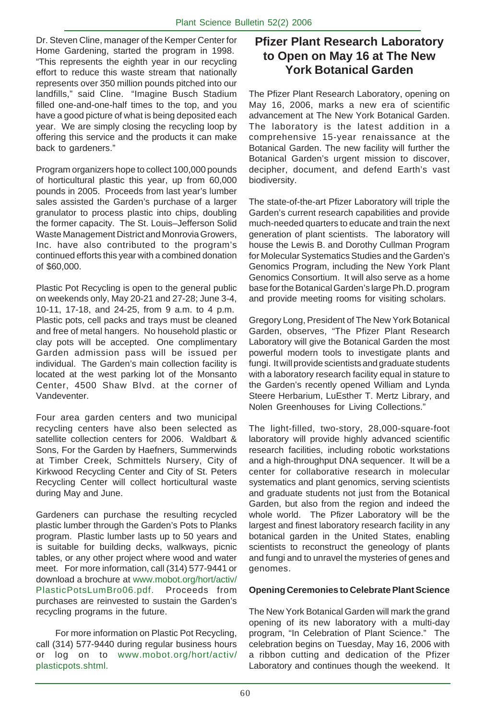Dr. Steven Cline, manager of the Kemper Center for Home Gardening, started the program in 1998. "This represents the eighth year in our recycling effort to reduce this waste stream that nationally represents over 350 million pounds pitched into our landfills," said Cline. "Imagine Busch Stadium filled one-and-one-half times to the top, and you have a good picture of what is being deposited each year. We are simply closing the recycling loop by offering this service and the products it can make back to gardeners."

Program organizers hope to collect 100,000 pounds of horticultural plastic this year, up from 60,000 pounds in 2005. Proceeds from last year's lumber sales assisted the Garden's purchase of a larger granulator to process plastic into chips, doubling the former capacity. The St. Louis–Jefferson Solid Waste Management District and Monrovia Growers, Inc. have also contributed to the program's continued efforts this year with a combined donation of \$60,000.

Plastic Pot Recycling is open to the general public on weekends only, May 20-21 and 27-28; June 3-4, 10-11, 17-18, and 24-25, from 9 a.m. to 4 p.m. Plastic pots, cell packs and trays must be cleaned and free of metal hangers. No household plastic or clay pots will be accepted. One complimentary Garden admission pass will be issued per individual. The Garden's main collection facility is located at the west parking lot of the Monsanto Center, 4500 Shaw Blvd. at the corner of Vandeventer.

Four area garden centers and two municipal recycling centers have also been selected as satellite collection centers for 2006. Waldbart & Sons, For the Garden by Haefners, Summerwinds at Timber Creek, Schmittels Nursery, City of Kirkwood Recycling Center and City of St. Peters Recycling Center will collect horticultural waste during May and June.

Gardeners can purchase the resulting recycled plastic lumber through the Garden's Pots to Planks program. Plastic lumber lasts up to 50 years and is suitable for building decks, walkways, picnic tables, or any other project where wood and water meet. For more information, call (314) 577-9441 or download a brochure at www.mobot.org/hort/activ/ PlasticPotsLumBro06.pdf. Proceeds from purchases are reinvested to sustain the Garden's recycling programs in the future.

 For more information on Plastic Pot Recycling, call (314) 577-9440 during regular business hours or log on to www.mobot.org/hort/activ/ plasticpots.shtml.

## **Pfizer Plant Research Laboratory to Open on May 16 at The New York Botanical Garden**

The Pfizer Plant Research Laboratory, opening on May 16, 2006, marks a new era of scientific advancement at The New York Botanical Garden. The laboratory is the latest addition in a comprehensive 15-year renaissance at the Botanical Garden. The new facility will further the Botanical Garden's urgent mission to discover, decipher, document, and defend Earth's vast biodiversity.

The state-of-the-art Pfizer Laboratory will triple the Garden's current research capabilities and provide much-needed quarters to educate and train the next generation of plant scientists. The laboratory will house the Lewis B. and Dorothy Cullman Program for Molecular Systematics Studies and the Garden's Genomics Program, including the New York Plant Genomics Consortium. It will also serve as a home base for the Botanical Garden's large Ph.D. program and provide meeting rooms for visiting scholars.

Gregory Long, President of The New York Botanical Garden, observes, "The Pfizer Plant Research Laboratory will give the Botanical Garden the most powerful modern tools to investigate plants and fungi. It will provide scientists and graduate students with a laboratory research facility equal in stature to the Garden's recently opened William and Lynda Steere Herbarium, LuEsther T. Mertz Library, and Nolen Greenhouses for Living Collections."

The light-filled, two-story, 28,000-square-foot laboratory will provide highly advanced scientific research facilities, including robotic workstations and a high-throughput DNA sequencer. It will be a center for collaborative research in molecular systematics and plant genomics, serving scientists and graduate students not just from the Botanical Garden, but also from the region and indeed the whole world. The Pfizer Laboratory will be the largest and finest laboratory research facility in any botanical garden in the United States, enabling scientists to reconstruct the geneology of plants and fungi and to unravel the mysteries of genes and genomes.

#### **Opening Ceremonies to Celebrate Plant Science**

The New York Botanical Garden will mark the grand opening of its new laboratory with a multi-day program, "In Celebration of Plant Science." The celebration begins on Tuesday, May 16, 2006 with a ribbon cutting and dedication of the Pfizer Laboratory and continues though the weekend. It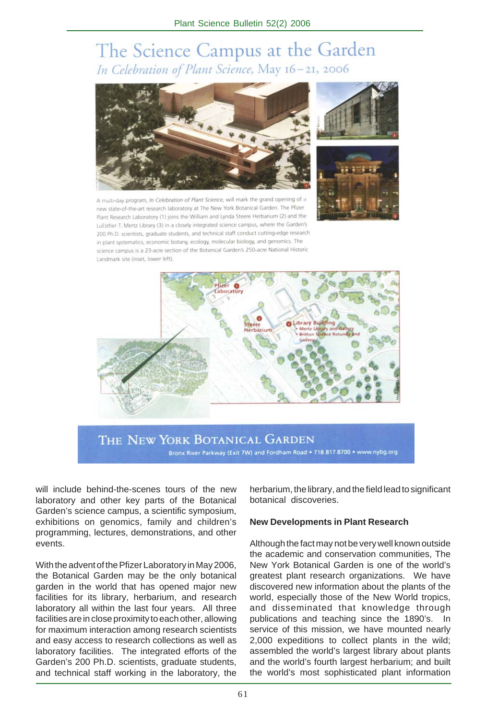# The Science Campus at the Garden In Celebration of Plant Science, May 16-21, 2006



-day program, In Celebration of Plant Science, will mark the grand opening of a new state-of-the-art research laboratory at The New York Botanical Garden. The Pfizer Plant Research Laboratory (1) joins the William and Lynda Steere Herbarium (2) and the LuEsther T. Mertz Library (3) in a closely integrated science campus, where the Garden's 200 Ph.D. scientists, graduate students, and technical staff conduct cutting-edge research in plant systematics, economic botany, ecology, molecular biology, and genomics. The science campus is a 23-acre section of the Botanical Garden's 250-acre National Historic Landmark site (inset, lower left).







THE NEW YORK BOTANICAL GARDEN Bronx River Parkway (Exit 7W) and Fordham Road . 718.817.8700 . www.nybg.org

will include behind-the-scenes tours of the new laboratory and other key parts of the Botanical Garden's science campus, a scientific symposium, exhibitions on genomics, family and children's programming, lectures, demonstrations, and other events.

With the advent of the Pfizer Laboratory in May 2006, the Botanical Garden may be the only botanical garden in the world that has opened major new facilities for its library, herbarium, and research laboratory all within the last four years. All three facilities are in close proximity to each other, allowing for maximum interaction among research scientists and easy access to research collections as well as laboratory facilities. The integrated efforts of the Garden's 200 Ph.D. scientists, graduate students, and technical staff working in the laboratory, the herbarium, the library, and the field lead to significant botanical discoveries.

#### **New Developments in Plant Research**

Although the fact may not be very well known outside the academic and conservation communities, The New York Botanical Garden is one of the world's greatest plant research organizations. We have discovered new information about the plants of the world, especially those of the New World tropics, and disseminated that knowledge through publications and teaching since the 1890's. In service of this mission, we have mounted nearly 2,000 expeditions to collect plants in the wild; assembled the world's largest library about plants and the world's fourth largest herbarium; and built the world's most sophisticated plant information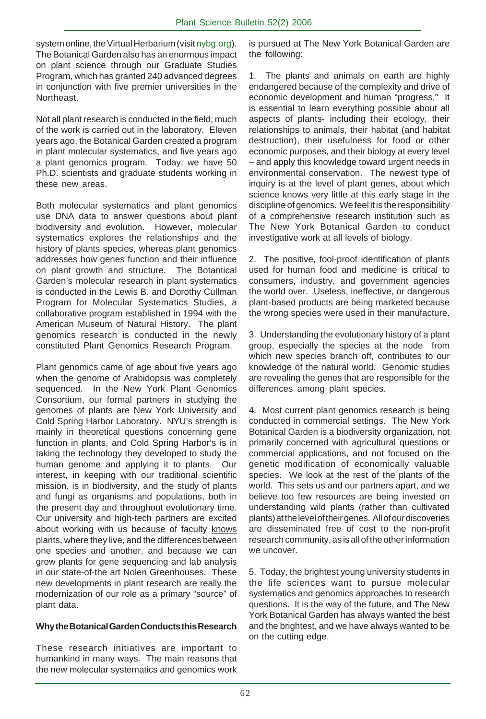system online, the Virtual Herbarium (visit nybg.org). The Botanical Garden also has an enormous impact on plant science through our Graduate Studies Program, which has granted 240 advanced degrees in conjunction with five premier universities in the Northeast.

Not all plant research is conducted in the field; much of the work is carried out in the laboratory. Eleven years ago, the Botanical Garden created a program in plant molecular systematics, and five years ago a plant genomics program. Today, we have 50 Ph.D. scientists and graduate students working in these new areas.

Both molecular systematics and plant genomics use DNA data to answer questions about plant biodiversity and evolution. However, molecular systematics explores the relationships and the history of plants species, whereas plant genomics addresses how genes function and their influence on plant growth and structure. The Botantical Garden's molecular research in plant systematics is conducted in the Lewis B. and Dorothy Cullman Program for Molecular Systematics Studies, a collaborative program established in 1994 with the American Museum of Natural History. The plant genomics research is conducted in the newly constituted Plant Genomics Research Program.

Plant genomics came of age about five years ago when the genome of Arabidopsis was completely sequenced. In the New York Plant Genomics Consortium, our formal partners in studying the genomes of plants are New York University and Cold Spring Harbor Laboratory. NYU's strength is mainly in theoretical questions concerning gene function in plants, and Cold Spring Harbor's is in taking the technology they developed to study the human genome and applying it to plants. Our interest, in keeping with our traditional scientific mission, is in biodiversity, and the study of plants and fungi as organisms and populations, both in the present day and throughout evolutionary time. Our university and high-tech partners are excited about working with us because of faculty knows plants, where they live, and the differences between one species and another, and because we can grow plants for gene sequencing and lab analysis in our state-of-the art Nolen Greenhouses. These new developments in plant research are really the modernization of our role as a primary "source" of plant data.

#### **Why the Botanical Garden Conducts this Research**

These research initiatives are important to humankind in many ways. The main reasons that the new molecular systematics and genomics work is pursued at The New York Botanical Garden are the following:

1. The plants and animals on earth are highly endangered because of the complexity and drive of economic development and human "progress." It is essential to learn everything possible about all aspects of plants- including their ecology, their relationships to animals, their habitat (and habitat destruction), their usefulness for food or other economic purposes, and their biology at every level – and apply this knowledge toward urgent needs in environmental conservation. The newest type of inquiry is at the level of plant genes, about which science knows very little at this early stage in the discipline of genomics. We feel it is the responsibility of a comprehensive research institution such as The New York Botanical Garden to conduct investigative work at all levels of biology.

2. The positive, fool-proof identification of plants used for human food and medicine is critical to consumers, industry, and government agencies the world over. Useless, ineffective, or dangerous plant-based products are being marketed because the wrong species were used in their manufacture.

3. Understanding the evolutionary history of a plant group, especially the species at the node from which new species branch off, contributes to our knowledge of the natural world. Genomic studies are revealing the genes that are responsible for the differences among plant species.

4. Most current plant genomics research is being conducted in commercial settings. The New York Botanical Garden is a biodiversity organization, not primarily concerned with agricultural questions or commercial applications, and not focused on the genetic modification of economically valuable species. We look at the rest of the plants of the world. This sets us and our partners apart, and we believe too few resources are being invested on understanding wild plants (rather than cultivated plants) at the level of their genes. All of our discoveries are disseminated free of cost to the non-profit research community, as is all of the other information we uncover.

5. Today, the brightest young university students in the life sciences want to pursue molecular systematics and genomics approaches to research questions. It is the way of the future, and The New York Botanical Garden has always wanted the best and the brightest, and we have always wanted to be on the cutting edge.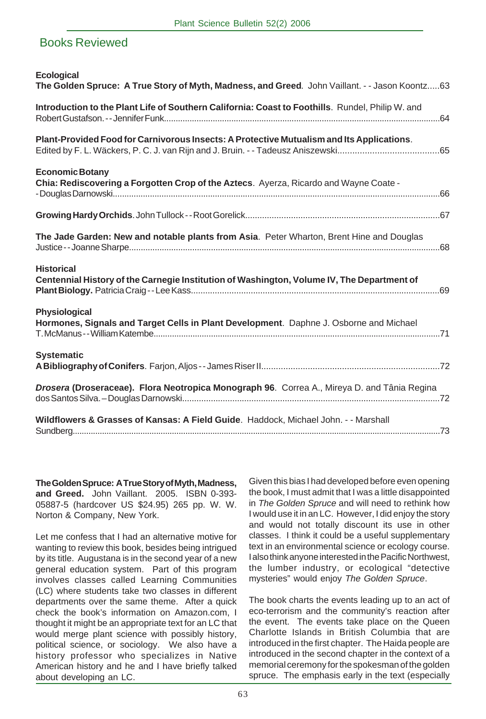## Books Reviewed

| <b>Ecological</b><br>The Golden Spruce: A True Story of Myth, Madness, and Greed. John Vaillant. - - Jason Koontz63 |
|---------------------------------------------------------------------------------------------------------------------|
| Introduction to the Plant Life of Southern California: Coast to Foothills. Rundel, Philip W. and                    |
| Plant-Provided Food for Carnivorous Insects: A Protective Mutualism and Its Applications.                           |
| <b>Economic Botany</b><br>Chia: Rediscovering a Forgotten Crop of the Aztecs. Ayerza, Ricardo and Wayne Coate -     |
|                                                                                                                     |
| The Jade Garden: New and notable plants from Asia. Peter Wharton, Brent Hine and Douglas                            |
| <b>Historical</b><br>Centennial History of the Carnegie Institution of Washington, Volume IV, The Department of     |
| Physiological<br>Hormones, Signals and Target Cells in Plant Development. Daphne J. Osborne and Michael             |
| <b>Systematic</b>                                                                                                   |
| Drosera (Droseraceae). Flora Neotropica Monograph 96. Correa A., Mireya D. and Tânia Regina                         |
| Wildflowers & Grasses of Kansas: A Field Guide. Haddock, Michael John. - - Marshall                                 |

**The Golden Spruce: A True Story of Myth, Madness, and Greed.** John Vaillant. 2005. ISBN 0-393- 05887-5 (hardcover US \$24.95) 265 pp. W. W. Norton & Company, New York.

Let me confess that I had an alternative motive for wanting to review this book, besides being intrigued by its title. Augustana is in the second year of a new general education system. Part of this program involves classes called Learning Communities (LC) where students take two classes in different departments over the same theme. After a quick check the book's information on Amazon.com, I thought it might be an appropriate text for an LC that would merge plant science with possibly history, political science, or sociology. We also have a history professor who specializes in Native American history and he and I have briefly talked about developing an LC.

Given this bias I had developed before even opening the book, I must admit that I was a little disappointed in *The Golden Spruce* and will need to rethink how I would use it in an LC. However, I did enjoy the story and would not totally discount its use in other classes. I think it could be a useful supplementary text in an environmental science or ecology course. I also think anyone interested in the Pacific Northwest, the lumber industry, or ecological "detective mysteries" would enjoy *The Golden Spruce*.

The book charts the events leading up to an act of eco-terrorism and the community's reaction after the event. The events take place on the Queen Charlotte Islands in British Columbia that are introduced in the first chapter. The Haida people are introduced in the second chapter in the context of a memorial ceremony for the spokesman of the golden spruce. The emphasis early in the text (especially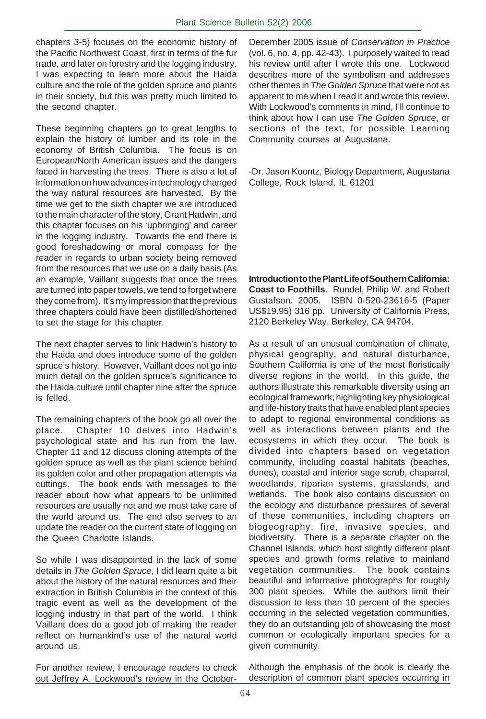chapters 3-5) focuses on the economic history of the Pacific Northwest Coast, first in terms of the fur trade, and later on forestry and the logging industry. I was expecting to learn more about the Haida culture and the role of the golden spruce and plants in their society, but this was pretty much limited to the second chapter.

These beginning chapters go to great lengths to explain the history of lumber and its role in the economy of British Columbia. The focus is on European/North American issues and the dangers faced in harvesting the trees. There is also a lot of information on how advances in technology changed the way natural resources are harvested. By the time we get to the sixth chapter we are introduced to the main character of the story, Grant Hadwin, and this chapter focuses on his 'upbringing' and career in the logging industry. Towards the end there is good foreshadowing or moral compass for the reader in regards to urban society being removed from the resources that we use on a daily basis (As an example, Vaillant suggests that once the trees are turned into paper towels, we tend to forget where they come from). It's my impression that the previous three chapters could have been distilled/shortened to set the stage for this chapter.

The next chapter serves to link Hadwin's history to the Haida and does introduce some of the golden spruce's history. However, Vaillant does not go into much detail on the golden spruce's significance to the Haida culture until chapter nine after the spruce is felled.

The remaining chapters of the book go all over the place. Chapter 10 delves into Hadwin's psychological state and his run from the law. Chapter 11 and 12 discuss cloning attempts of the golden spruce as well as the plant science behind its golden color and other propagation attempts via cuttings. The book ends with messages to the reader about how what appears to be unlimited resources are usually not and we must take care of the world around us. The end also serves to an update the reader on the current state of logging on the Queen Charlotte Islands.

So while I was disappointed in the lack of some details in *The Golden Spruce*, I did learn quite a bit about the history of the natural resources and their extraction in British Columbia in the context of this tragic event as well as the development of the logging industry in that part of the world. I think Vaillant does do a good job of making the reader reflect on humankind's use of the natural world around us.

For another review, I encourage readers to check out Jeffrey A. Lockwood's review in the OctoberDecember 2005 issue of *Conservation in Practice* (vol. 6, no. 4, pp. 42-43). I purposely waited to read his review until after I wrote this one. Lockwood describes more of the symbolism and addresses other themes in *The Golden Spruce* that were not as apparent to me when I read it and wrote this review. With Lockwood's comments in mind, I'll continue to think about how I can use *The Golden Spruce*, or sections of the text, for possible Learning Community courses at Augustana.

-Dr. Jason Koontz, Biology Department, Augustana College, Rock Island, IL 61201

**Introduction to the Plant Life of Southern California: Coast to Foothills**. Rundel, Philip W. and Robert Gustafson. 2005. ISBN 0-520-23616-5 (Paper US\$19.95) 316 pp. University of California Press, 2120 Berkeley Way, Berkeley, CA 94704.

As a result of an unusual combination of climate, physical geography, and natural disturbance, Southern California is one of the most floristically diverse regions in the world. In this guide, the authors illustrate this remarkable diversity using an ecological framework; highlighting key physiological and life-history traits that have enabled plant species to adapt to regional environmental conditions as well as interactions between plants and the ecosystems in which they occur. The book is divided into chapters based on vegetation community, including coastal habitats (beaches, dunes), coastal and interior sage scrub, chaparral, woodlands, riparian systems, grasslands, and wetlands. The book also contains discussion on the ecology and disturbance pressures of several of these communities, including chapters on biogeography, fire, invasive species, and biodiversity. There is a separate chapter on the Channel Islands, which host slightly different plant species and growth forms relative to mainland vegetation communities. The book contains beautiful and informative photographs for roughly 300 plant species. While the authors limit their discussion to less than 10 percent of the species occurring in the selected vegetation communities, they do an outstanding job of showcasing the most common or ecologically important species for a given community.

Although the emphasis of the book is clearly the description of common plant species occurring in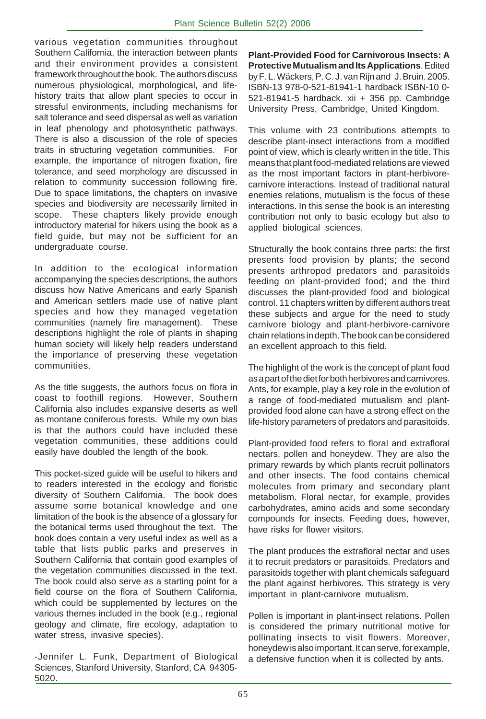various vegetation communities throughout Southern California, the interaction between plants and their environment provides a consistent framework throughout the book. The authors discuss numerous physiological, morphological, and lifehistory traits that allow plant species to occur in stressful environments, including mechanisms for salt tolerance and seed dispersal as well as variation in leaf phenology and photosynthetic pathways. There is also a discussion of the role of species traits in structuring vegetation communities. For example, the importance of nitrogen fixation, fire tolerance, and seed morphology are discussed in relation to community succession following fire. Due to space limitations, the chapters on invasive species and biodiversity are necessarily limited in scope. These chapters likely provide enough introductory material for hikers using the book as a field guide, but may not be sufficient for an undergraduate course.

In addition to the ecological information accompanying the species descriptions, the authors discuss how Native Americans and early Spanish and American settlers made use of native plant species and how they managed vegetation communities (namely fire management). These descriptions highlight the role of plants in shaping human society will likely help readers understand the importance of preserving these vegetation communities.

As the title suggests, the authors focus on flora in coast to foothill regions. However, Southern California also includes expansive deserts as well as montane coniferous forests. While my own bias is that the authors could have included these vegetation communities, these additions could easily have doubled the length of the book.

This pocket-sized guide will be useful to hikers and to readers interested in the ecology and floristic diversity of Southern California. The book does assume some botanical knowledge and one limitation of the book is the absence of a glossary for the botanical terms used throughout the text. The book does contain a very useful index as well as a table that lists public parks and preserves in Southern California that contain good examples of the vegetation communities discussed in the text. The book could also serve as a starting point for a field course on the flora of Southern California, which could be supplemented by lectures on the various themes included in the book (e.g., regional geology and climate, fire ecology, adaptation to water stress, invasive species).

-Jennifer L. Funk, Department of Biological Sciences, Stanford University, Stanford, CA 94305- 5020.

**Plant-Provided Food for Carnivorous Insects: A Protective Mutualism and Its Applications**. Edited by F. L. Wäckers, P. C. J. van Rijn and J. Bruin. 2005. ISBN-13 978-0-521-81941-1 hardback ISBN-10 0- 521-81941-5 hardback. xii + 356 pp. Cambridge University Press, Cambridge, United Kingdom.

This volume with 23 contributions attempts to describe plant-insect interactions from a modified point of view, which is clearly written in the title. This means that plant food-mediated relations are viewed as the most important factors in plant-herbivorecarnivore interactions. Instead of traditional natural enemies relations, mutualism is the focus of these interactions. In this sense the book is an interesting contribution not only to basic ecology but also to applied biological sciences.

Structurally the book contains three parts: the first presents food provision by plants; the second presents arthropod predators and parasitoids feeding on plant-provided food; and the third discusses the plant-provided food and biological control. 11 chapters written by different authors treat these subjects and argue for the need to study carnivore biology and plant-herbivore-carnivore chain relations in depth. The book can be considered an excellent approach to this field.

The highlight of the work is the concept of plant food as a part of the diet for both herbivores and carnivores. Ants, for example, play a key role in the evolution of a range of food-mediated mutualism and plantprovided food alone can have a strong effect on the life-history parameters of predators and parasitoids.

Plant-provided food refers to floral and extrafloral nectars, pollen and honeydew. They are also the primary rewards by which plants recruit pollinators and other insects. The food contains chemical molecules from primary and secondary plant metabolism. Floral nectar, for example, provides carbohydrates, amino acids and some secondary compounds for insects. Feeding does, however, have risks for flower visitors.

The plant produces the extrafloral nectar and uses it to recruit predators or parasitoids. Predators and parasitoids together with plant chemicals safeguard the plant against herbivores. This strategy is very important in plant-carnivore mutualism.

Pollen is important in plant-insect relations. Pollen is considered the primary nutritional motive for pollinating insects to visit flowers. Moreover, honeydew is also important. It can serve, for example, a defensive function when it is collected by ants.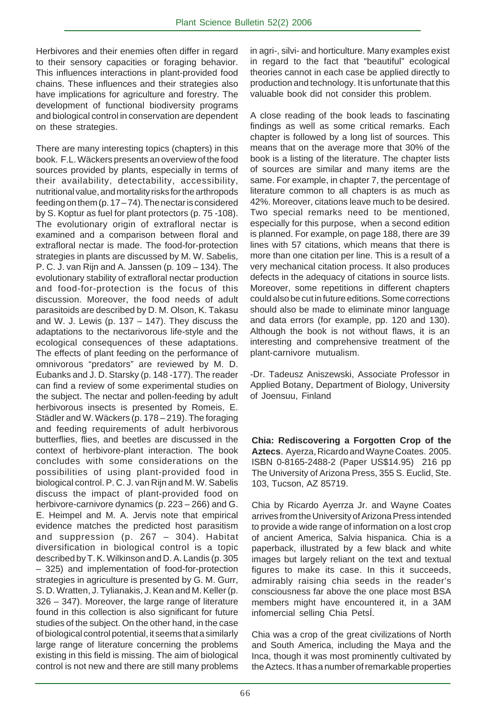Herbivores and their enemies often differ in regard to their sensory capacities or foraging behavior. This influences interactions in plant-provided food chains. These influences and their strategies also have implications for agriculture and forestry. The development of functional biodiversity programs and biological control in conservation are dependent on these strategies.

There are many interesting topics (chapters) in this book. F.L. Wäckers presents an overview of the food sources provided by plants, especially in terms of their availability, detectability, accessibility, nutritional value, and mortality risks for the arthropods feeding on them (p. 17 – 74). The nectar is considered by S. Koptur as fuel for plant protectors (p. 75 -108). The evolutionary origin of extrafloral nectar is examined and a comparison between floral and extrafloral nectar is made. The food-for-protection strategies in plants are discussed by M. W. Sabelis, P. C. J. van Rijn and A. Janssen (p. 109 – 134). The evolutionary stability of extrafloral nectar production and food-for-protection is the focus of this discussion. Moreover, the food needs of adult parasitoids are described by D. M. Olson, K. Takasu and W. J. Lewis (p.  $137 - 147$ ). They discuss the adaptations to the nectarivorous life-style and the ecological consequences of these adaptations. The effects of plant feeding on the performance of omnivorous "predators" are reviewed by M. D. Eubanks and J. D. Starsky (p. 148 -177). The reader can find a review of some experimental studies on the subject. The nectar and pollen-feeding by adult herbivorous insects is presented by Romeis, E. Städler and W. Wäckers (p. 178 – 219). The foraging and feeding requirements of adult herbivorous butterflies, flies, and beetles are discussed in the context of herbivore-plant interaction. The book concludes with some considerations on the possibilities of using plant-provided food in biological control. P. C. J. van Rijn and M. W. Sabelis discuss the impact of plant-provided food on herbivore-carnivore dynamics (p. 223 – 266) and G. E. Heimpel and M. A. Jervis note that empirical evidence matches the predicted host parasitism and suppression (p. 267 – 304). Habitat diversification in biological control is a topic described by T. K. Wilkinson and D. A. Landis (p. 305 – 325) and implementation of food-for-protection strategies in agriculture is presented by G. M. Gurr, S. D. Wratten, J. Tylianakis, J. Kean and M. Keller (p. 326 – 347). Moreover, the large range of literature found in this collection is also significant for future studies of the subject. On the other hand, in the case of biological control potential, it seems that a similarly large range of literature concerning the problems existing in this field is missing. The aim of biological control is not new and there are still many problems

in agri-, silvi- and horticulture. Many examples exist in regard to the fact that "beautiful" ecological theories cannot in each case be applied directly to production and technology. It is unfortunate that this valuable book did not consider this problem.

A close reading of the book leads to fascinating findings as well as some critical remarks. Each chapter is followed by a long list of sources. This means that on the average more that 30% of the book is a listing of the literature. The chapter lists of sources are similar and many items are the same. For example, in chapter 7, the percentage of literature common to all chapters is as much as 42%. Moreover, citations leave much to be desired. Two special remarks need to be mentioned, especially for this purpose, when a second edition is planned. For example, on page 188, there are 39 lines with 57 citations, which means that there is more than one citation per line. This is a result of a very mechanical citation process. It also produces defects in the adequacy of citations in source lists. Moreover, some repetitions in different chapters could also be cut in future editions. Some corrections should also be made to eliminate minor language and data errors (for example, pp. 120 and 130). Although the book is not without flaws, it is an interesting and comprehensive treatment of the plant-carnivore mutualism.

-Dr. Tadeusz Aniszewski, Associate Professor in Applied Botany, Department of Biology, University of Joensuu, Finland

**Chia: Rediscovering a Forgotten Crop of the Aztecs**. Ayerza, Ricardo and Wayne Coates. 2005. ISBN 0-8165-2488-2 (Paper US\$14.95) 216 pp The University of Arizona Press, 355 S. Euclid, Ste. 103, Tucson, AZ 85719.

Chia by Ricardo Ayerrza Jr. and Wayne Coates arrives from the University of Arizona Press intended to provide a wide range of information on a lost crop of ancient America, Salvia hispanica. Chia is a paperback, illustrated by a few black and white images but largely reliant on the text and textual figures to make its case. In this it succeeds, admirably raising chia seeds in the reader's consciousness far above the one place most BSA members might have encountered it, in a 3AM infomercial selling Chia Petsl.

Chia was a crop of the great civilizations of North and South America, including the Maya and the Inca, though it was most prominently cultivated by the Aztecs. It has a number of remarkable properties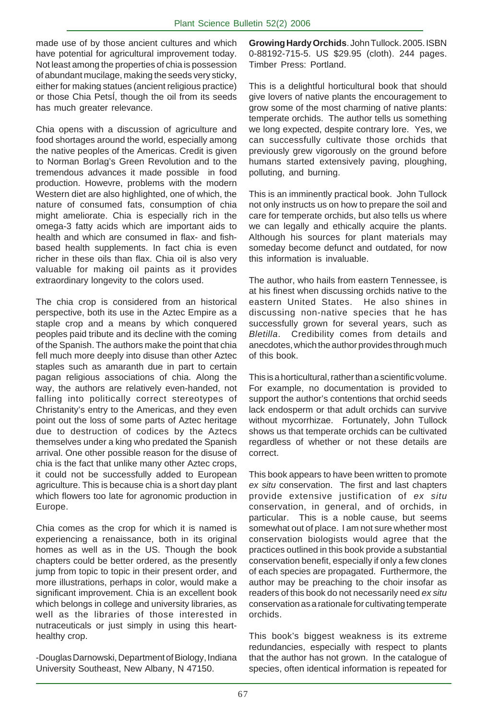made use of by those ancient cultures and which have potential for agricultural improvement today. Not least among the properties of chia is possession of abundant mucilage, making the seeds very sticky, either for making statues (ancient religious practice) or those Chia PetsÍ, though the oil from its seeds has much greater relevance.

Chia opens with a discussion of agriculture and food shortages around the world, especially among the native peoples of the Americas. Credit is given to Norman Borlag's Green Revolution and to the tremendous advances it made possible in food production. Howevre, problems with the modern Western diet are also highlighted, one of which, the nature of consumed fats, consumption of chia might ameliorate. Chia is especially rich in the omega-3 fatty acids which are important aids to health and which are consumed in flax- and fishbased health supplements. In fact chia is even richer in these oils than flax. Chia oil is also very valuable for making oil paints as it provides extraordinary longevity to the colors used.

The chia crop is considered from an historical perspective, both its use in the Aztec Empire as a staple crop and a means by which conquered peoples paid tribute and its decline with the coming of the Spanish. The authors make the point that chia fell much more deeply into disuse than other Aztec staples such as amaranth due in part to certain pagan religious associations of chia. Along the way, the authors are relatively even-handed, not falling into politically correct stereotypes of Christanity's entry to the Americas, and they even point out the loss of some parts of Aztec heritage due to destruction of codices by the Aztecs themselves under a king who predated the Spanish arrival. One other possible reason for the disuse of chia is the fact that unlike many other Aztec crops, it could not be successfully added to European agriculture. This is because chia is a short day plant which flowers too late for agronomic production in Europe.

Chia comes as the crop for which it is named is experiencing a renaissance, both in its original homes as well as in the US. Though the book chapters could be better ordered, as the presently jump from topic to topic in their present order, and more illustrations, perhaps in color, would make a significant improvement. Chia is an excellent book which belongs in college and university libraries, as well as the libraries of those interested in nutraceuticals or just simply in using this hearthealthy crop.

-Douglas Darnowski, Department of Biology, Indiana University Southeast, New Albany, N 47150.

**Growing Hardy Orchids**. John Tullock. 2005. ISBN 0-88192-715-5. US \$29.95 (cloth). 244 pages. Timber Press: Portland.

This is a delightful horticultural book that should give lovers of native plants the encouragement to grow some of the most charming of native plants: temperate orchids. The author tells us something we long expected, despite contrary lore. Yes, we can successfully cultivate those orchids that previously grew vigorously on the ground before humans started extensively paving, ploughing, polluting, and burning.

This is an imminently practical book. John Tullock not only instructs us on how to prepare the soil and care for temperate orchids, but also tells us where we can legally and ethically acquire the plants. Although his sources for plant materials may someday become defunct and outdated, for now this information is invaluable.

The author, who hails from eastern Tennessee, is at his finest when discussing orchids native to the eastern United States. He also shines in discussing non-native species that he has successfully grown for several years, such as *Bletilla*. Credibility comes from details and anecdotes, which the author provides through much of this book.

This is a horticultural, rather than a scientific volume. For example, no documentation is provided to support the author's contentions that orchid seeds lack endosperm or that adult orchids can survive without mycorrhizae. Fortunately, John Tullock shows us that temperate orchids can be cultivated regardless of whether or not these details are correct.

This book appears to have been written to promote *ex situ* conservation. The first and last chapters provide extensive justification of *ex situ* conservation, in general, and of orchids, in particular. This is a noble cause, but seems somewhat out of place. I am not sure whether most conservation biologists would agree that the practices outlined in this book provide a substantial conservation benefit, especially if only a few clones of each species are propagated. Furthermore, the author may be preaching to the choir insofar as readers of this book do not necessarily need *ex situ* conservation as a rationale for cultivating temperate orchids.

This book's biggest weakness is its extreme redundancies, especially with respect to plants that the author has not grown. In the catalogue of species, often identical information is repeated for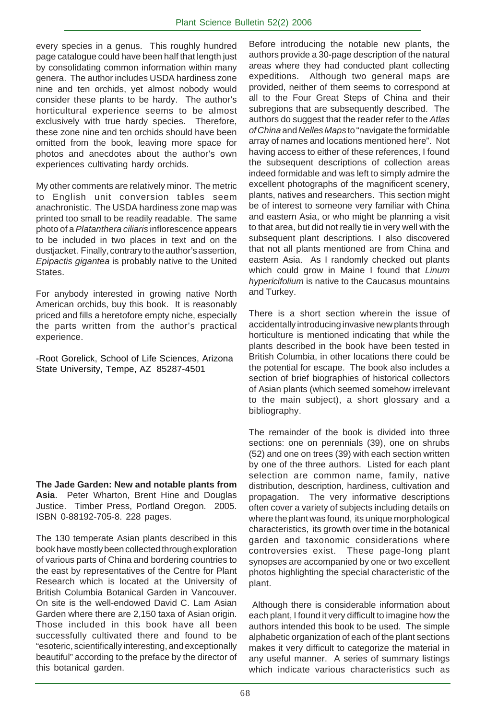every species in a genus. This roughly hundred page catalogue could have been half that length just by consolidating common information within many genera. The author includes USDA hardiness zone nine and ten orchids, yet almost nobody would consider these plants to be hardy. The author's horticultural experience seems to be almost exclusively with true hardy species. Therefore, these zone nine and ten orchids should have been omitted from the book, leaving more space for photos and anecdotes about the author's own experiences cultivating hardy orchids.

My other comments are relatively minor. The metric to English unit conversion tables seem anachronistic. The USDA hardiness zone map was printed too small to be readily readable. The same photo of a *Platanthera ciliaris* inflorescence appears to be included in two places in text and on the dustjacket. Finally, contrary to the author's assertion, *Epipactis gigantea* is probably native to the United States.

For anybody interested in growing native North American orchids, buy this book. It is reasonably priced and fills a heretofore empty niche, especially the parts written from the author's practical experience.

-Root Gorelick, School of Life Sciences, Arizona State University, Tempe, AZ 85287-4501

**The Jade Garden: New and notable plants from Asia**. Peter Wharton, Brent Hine and Douglas Justice. Timber Press, Portland Oregon. 2005. ISBN 0-88192-705-8. 228 pages.

The 130 temperate Asian plants described in this book have mostly been collected through exploration of various parts of China and bordering countries to the east by representatives of the Centre for Plant Research which is located at the University of British Columbia Botanical Garden in Vancouver. On site is the well-endowed David C. Lam Asian Garden where there are 2,150 taxa of Asian origin. Those included in this book have all been successfully cultivated there and found to be "esoteric, scientifically interesting, and exceptionally beautiful" according to the preface by the director of this botanical garden.

Before introducing the notable new plants, the authors provide a 30-page description of the natural areas where they had conducted plant collecting expeditions. Although two general maps are provided, neither of them seems to correspond at all to the Four Great Steps of China and their subregions that are subsequently described. The authors do suggest that the reader refer to the *Atlas of China* and *Nelles Maps* to "navigate the formidable array of names and locations mentioned here". Not having access to either of these references, I found the subsequent descriptions of collection areas indeed formidable and was left to simply admire the excellent photographs of the magnificent scenery, plants, natives and researchers. This section might be of interest to someone very familiar with China and eastern Asia, or who might be planning a visit to that area, but did not really tie in very well with the subsequent plant descriptions. I also discovered that not all plants mentioned are from China and eastern Asia. As I randomly checked out plants which could grow in Maine I found that *Linum hypericifolium* is native to the Caucasus mountains and Turkey.

There is a short section wherein the issue of accidentally introducing invasive new plants through horticulture is mentioned indicating that while the plants described in the book have been tested in British Columbia, in other locations there could be the potential for escape. The book also includes a section of brief biographies of historical collectors of Asian plants (which seemed somehow irrelevant to the main subject), a short glossary and a bibliography.

The remainder of the book is divided into three sections: one on perennials (39), one on shrubs (52) and one on trees (39) with each section written by one of the three authors. Listed for each plant selection are common name, family, native distribution, description, hardiness, cultivation and propagation. The very informative descriptions often cover a variety of subjects including details on where the plant was found, its unique morphological characteristics, its growth over time in the botanical garden and taxonomic considerations where controversies exist. These page-long plant synopses are accompanied by one or two excellent photos highlighting the special characteristic of the plant.

 Although there is considerable information about each plant, I found it very difficult to imagine how the authors intended this book to be used. The simple alphabetic organization of each of the plant sections makes it very difficult to categorize the material in any useful manner. A series of summary listings which indicate various characteristics such as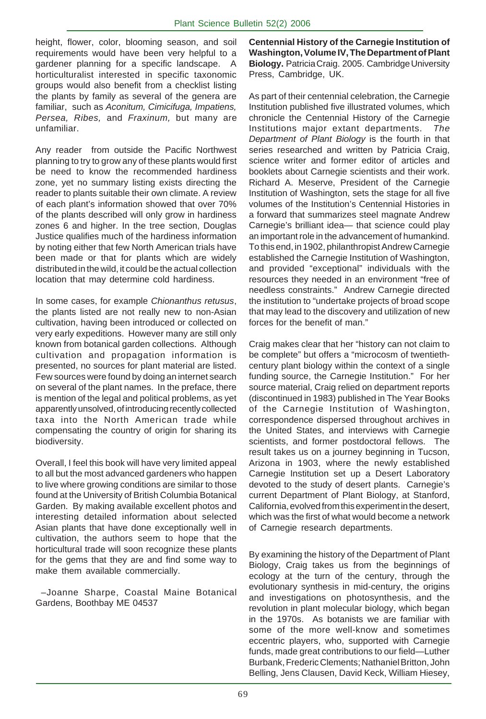height, flower, color, blooming season, and soil requirements would have been very helpful to a gardener planning for a specific landscape. A horticulturalist interested in specific taxonomic groups would also benefit from a checklist listing the plants by family as several of the genera are familiar, such as *Aconitum, Cimicifuga, Impatiens, Persea, Ribes,* and *Fraxinum,* but many are unfamiliar.

Any reader from outside the Pacific Northwest planning to try to grow any of these plants would first be need to know the recommended hardiness zone, yet no summary listing exists directing the reader to plants suitable their own climate. A review of each plant's information showed that over 70% of the plants described will only grow in hardiness zones 6 and higher. In the tree section, Douglas Justice qualifies much of the hardiness information by noting either that few North American trials have been made or that for plants which are widely distributed in the wild, it could be the actual collection location that may determine cold hardiness.

In some cases, for example *Chionanthus retusus*, the plants listed are not really new to non-Asian cultivation, having been introduced or collected on very early expeditions. However many are still only known from botanical garden collections. Although cultivation and propagation information is presented, no sources for plant material are listed. Few sources were found by doing an internet search on several of the plant names. In the preface, there is mention of the legal and political problems, as yet apparently unsolved, of introducing recently collected taxa into the North American trade while compensating the country of origin for sharing its biodiversity.

Overall, I feel this book will have very limited appeal to all but the most advanced gardeners who happen to live where growing conditions are similar to those found at the University of British Columbia Botanical Garden. By making available excellent photos and interesting detailed information about selected Asian plants that have done exceptionally well in cultivation, the authors seem to hope that the horticultural trade will soon recognize these plants for the gems that they are and find some way to make them available commercially.

 –Joanne Sharpe, Coastal Maine Botanical Gardens, Boothbay ME 04537

**Centennial History of the Carnegie Institution of Washington, Volume IV, The Department of Plant Biology.** Patricia Craig. 2005. Cambridge University Press, Cambridge, UK.

As part of their centennial celebration, the Carnegie Institution published five illustrated volumes, which chronicle the Centennial History of the Carnegie Institutions major extant departments. *The Department of Plant Biology* is the fourth in that series researched and written by Patricia Craig, science writer and former editor of articles and booklets about Carnegie scientists and their work. Richard A. Meserve, President of the Carnegie Institution of Washington, sets the stage for all five volumes of the Institution's Centennial Histories in a forward that summarizes steel magnate Andrew Carnegie's brilliant idea— that science could play an important role in the advancement of humankind. To this end, in 1902, philanthropist Andrew Carnegie established the Carnegie Institution of Washington, and provided "exceptional" individuals with the resources they needed in an environment "free of needless constraints." Andrew Carnegie directed the institution to "undertake projects of broad scope that may lead to the discovery and utilization of new forces for the benefit of man."

Craig makes clear that her "history can not claim to be complete" but offers a "microcosm of twentiethcentury plant biology within the context of a single funding source, the Carnegie Institution." For her source material, Craig relied on department reports (discontinued in 1983) published in The Year Books of the Carnegie Institution of Washington, correspondence dispersed throughout archives in the United States, and interviews with Carnegie scientists, and former postdoctoral fellows. The result takes us on a journey beginning in Tucson, Arizona in 1903, where the newly established Carnegie Institution set up a Desert Laboratory devoted to the study of desert plants. Carnegie's current Department of Plant Biology, at Stanford, California, evolved from this experiment in the desert, which was the first of what would become a network of Carnegie research departments.

By examining the history of the Department of Plant Biology, Craig takes us from the beginnings of ecology at the turn of the century, through the evolutionary synthesis in mid-century, the origins and investigations on photosynthesis, and the revolution in plant molecular biology, which began in the 1970s. As botanists we are familiar with some of the more well-know and sometimes eccentric players, who, supported with Carnegie funds, made great contributions to our field—Luther Burbank, Frederic Clements; Nathaniel Britton, John Belling, Jens Clausen, David Keck, William Hiesey,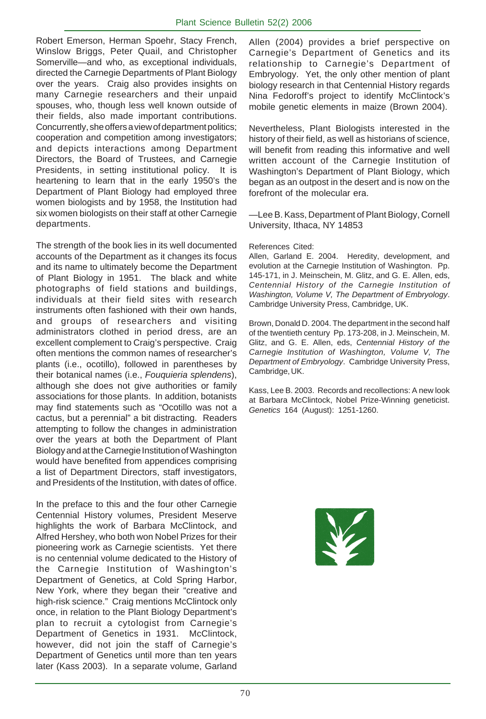Robert Emerson, Herman Spoehr, Stacy French, Winslow Briggs, Peter Quail, and Christopher Somerville—and who, as exceptional individuals, directed the Carnegie Departments of Plant Biology over the years. Craig also provides insights on many Carnegie researchers and their unpaid spouses, who, though less well known outside of their fields, also made important contributions. Concurrently, she offers a view of department politics; cooperation and competition among investigators; and depicts interactions among Department Directors, the Board of Trustees, and Carnegie Presidents, in setting institutional policy. It is heartening to learn that in the early 1950's the Department of Plant Biology had employed three women biologists and by 1958, the Institution had six women biologists on their staff at other Carnegie departments.

The strength of the book lies in its well documented accounts of the Department as it changes its focus and its name to ultimately become the Department of Plant Biology in 1951. The black and white photographs of field stations and buildings, individuals at their field sites with research instruments often fashioned with their own hands, and groups of researchers and visiting administrators clothed in period dress, are an excellent complement to Craig's perspective. Craig often mentions the common names of researcher's plants (i.e., ocotillo), followed in parentheses by their botanical names (i.e., *Fouquieria splendens*), although she does not give authorities or family associations for those plants. In addition, botanists may find statements such as "Ocotillo was not a cactus, but a perennial" a bit distracting. Readers attempting to follow the changes in administration over the years at both the Department of Plant Biology and at the Carnegie Institution of Washington would have benefited from appendices comprising a list of Department Directors, staff investigators, and Presidents of the Institution, with dates of office.

In the preface to this and the four other Carnegie Centennial History volumes, President Meserve highlights the work of Barbara McClintock, and Alfred Hershey, who both won Nobel Prizes for their pioneering work as Carnegie scientists. Yet there is no centennial volume dedicated to the History of the Carnegie Institution of Washington's Department of Genetics, at Cold Spring Harbor, New York, where they began their "creative and high-risk science." Craig mentions McClintock only once, in relation to the Plant Biology Department's plan to recruit a cytologist from Carnegie's Department of Genetics in 1931. McClintock, however, did not join the staff of Carnegie's Department of Genetics until more than ten years later (Kass 2003). In a separate volume, Garland

Allen (2004) provides a brief perspective on Carnegie's Department of Genetics and its relationship to Carnegie's Department of Embryology. Yet, the only other mention of plant biology research in that Centennial History regards Nina Fedoroff's project to identify McClintock's mobile genetic elements in maize (Brown 2004).

Nevertheless, Plant Biologists interested in the history of their field, as well as historians of science, will benefit from reading this informative and well written account of the Carnegie Institution of Washington's Department of Plant Biology, which began as an outpost in the desert and is now on the forefront of the molecular era.

—Lee B. Kass, Department of Plant Biology, Cornell University, Ithaca, NY 14853

#### References Cited:

Allen, Garland E. 2004. Heredity, development, and evolution at the Carnegie Institution of Washington. Pp. 145-171, in J. Meinschein, M. Glitz, and G. E. Allen, eds, *Centennial History of the Carnegie Institution of Washington, Volume V, The Department of Embryology*. Cambridge University Press, Cambridge, UK.

Brown, Donald D. 2004. The department in the second half of the twentieth century Pp. 173-208, in J. Meinschein, M. Glitz, and G. E. Allen, eds, *Centennial History of the Carnegie Institution of Washington, Volume V, The Department of Embryology*. Cambridge University Press, Cambridge, UK.

Kass, Lee B. 2003. Records and recollections: A new look at Barbara McClintock, Nobel Prize-Winning geneticist. *Genetics* 164 (August): 1251-1260.

X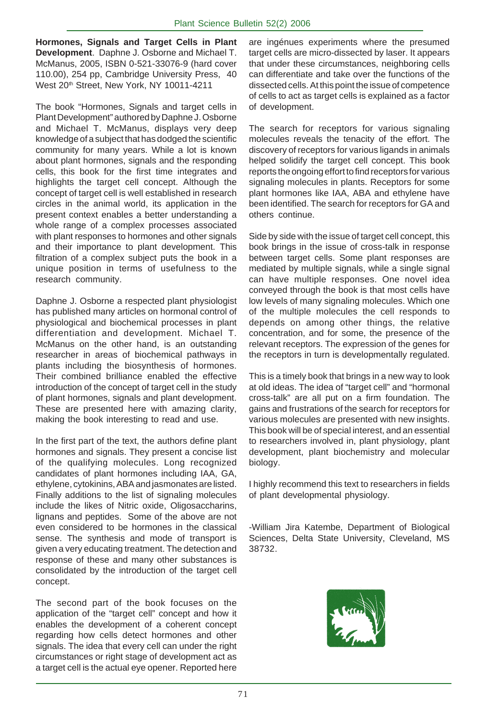**Hormones, Signals and Target Cells in Plant Development**. Daphne J. Osborne and Michael T. McManus, 2005, ISBN 0-521-33076-9 (hard cover 110.00), 254 pp, Cambridge University Press, 40 West 20<sup>th</sup> Street, New York, NY 10011-4211

The book "Hormones, Signals and target cells in Plant Development" authored by Daphne J. Osborne and Michael T. McManus, displays very deep knowledge of a subject that has dodged the scientific community for many years. While a lot is known about plant hormones, signals and the responding cells, this book for the first time integrates and highlights the target cell concept. Although the concept of target cell is well established in research circles in the animal world, its application in the present context enables a better understanding a whole range of a complex processes associated with plant responses to hormones and other signals and their importance to plant development. This filtration of a complex subject puts the book in a unique position in terms of usefulness to the research community.

Daphne J. Osborne a respected plant physiologist has published many articles on hormonal control of physiological and biochemical processes in plant differentiation and development. Michael T. McManus on the other hand, is an outstanding researcher in areas of biochemical pathways in plants including the biosynthesis of hormones. Their combined brilliance enabled the effective introduction of the concept of target cell in the study of plant hormones, signals and plant development. These are presented here with amazing clarity, making the book interesting to read and use.

In the first part of the text, the authors define plant hormones and signals. They present a concise list of the qualifying molecules. Long recognized candidates of plant hormones including IAA, GA, ethylene, cytokinins, ABA and jasmonates are listed. Finally additions to the list of signaling molecules include the likes of Nitric oxide, Oligosaccharins, lignans and peptides. Some of the above are not even considered to be hormones in the classical sense. The synthesis and mode of transport is given a very educating treatment. The detection and response of these and many other substances is consolidated by the introduction of the target cell concept.

The second part of the book focuses on the application of the "target cell" concept and how it enables the development of a coherent concept regarding how cells detect hormones and other signals. The idea that every cell can under the right circumstances or right stage of development act as a target cell is the actual eye opener. Reported here

are ingénues experiments where the presumed target cells are micro-dissected by laser. It appears that under these circumstances, neighboring cells can differentiate and take over the functions of the dissected cells. At this point the issue of competence of cells to act as target cells is explained as a factor of development.

The search for receptors for various signaling molecules reveals the tenacity of the effort. The discovery of receptors for various ligands in animals helped solidify the target cell concept. This book reports the ongoing effort to find receptors for various signaling molecules in plants. Receptors for some plant hormones like IAA, ABA and ethylene have been identified. The search for receptors for GA and others continue.

Side by side with the issue of target cell concept, this book brings in the issue of cross-talk in response between target cells. Some plant responses are mediated by multiple signals, while a single signal can have multiple responses. One novel idea conveyed through the book is that most cells have low levels of many signaling molecules. Which one of the multiple molecules the cell responds to depends on among other things, the relative concentration, and for some, the presence of the relevant receptors. The expression of the genes for the receptors in turn is developmentally regulated.

This is a timely book that brings in a new way to look at old ideas. The idea of "target cell" and "hormonal cross-talk" are all put on a firm foundation. The gains and frustrations of the search for receptors for various molecules are presented with new insights. This book will be of special interest, and an essential to researchers involved in, plant physiology, plant development, plant biochemistry and molecular biology.

I highly recommend this text to researchers in fields of plant developmental physiology.

-William Jira Katembe, Department of Biological Sciences, Delta State University, Cleveland, MS 38732.

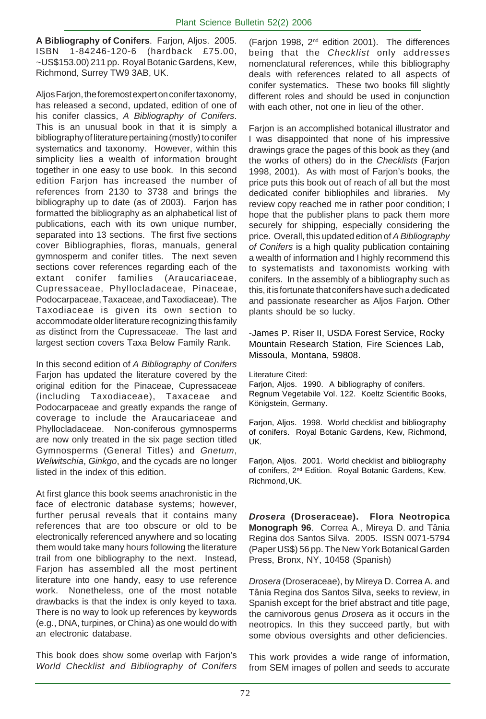**A Bibliography of Conifers**. Farjon, Aljos. 2005. ISBN 1-84246-120-6 (hardback £75.00, ~US\$153.00) 211 pp. Royal Botanic Gardens, Kew, Richmond, Surrey TW9 3AB, UK.

Aljos Farjon, the foremost expert on conifer taxonomy, has released a second, updated, edition of one of his conifer classics, *A Bibliography of Conifers*. This is an unusual book in that it is simply a bibliography of literature pertaining (mostly) to conifer systematics and taxonomy. However, within this simplicity lies a wealth of information brought together in one easy to use book. In this second edition Farjon has increased the number of references from 2130 to 3738 and brings the bibliography up to date (as of 2003). Farjon has formatted the bibliography as an alphabetical list of publications, each with its own unique number, separated into 13 sections. The first five sections cover Bibliographies, floras, manuals, general gymnosperm and conifer titles. The next seven sections cover references regarding each of the extant conifer families (Araucariaceae, Cupressaceae, Phyllocladaceae, Pinaceae, Podocarpaceae, Taxaceae, and Taxodiaceae). The Taxodiaceae is given its own section to accommodate older literature recognizing this family as distinct from the Cupressaceae. The last and largest section covers Taxa Below Family Rank.

In this second edition of *A Bibliography of Conifers* Farjon has updated the literature covered by the original edition for the Pinaceae, Cupressaceae (including Taxodiaceae), Taxaceae and Podocarpaceae and greatly expands the range of coverage to include the Araucariaceae and Phyllocladaceae. Non-coniferous gymnosperms are now only treated in the six page section titled Gymnosperms (General Titles) and *Gnetum*, *Welwitschia*, *Ginkgo*, and the cycads are no longer listed in the index of this edition.

At first glance this book seems anachronistic in the face of electronic database systems; however, further perusal reveals that it contains many references that are too obscure or old to be electronically referenced anywhere and so locating them would take many hours following the literature trail from one bibliography to the next. Instead, Farjon has assembled all the most pertinent literature into one handy, easy to use reference work. Nonetheless, one of the most notable drawbacks is that the index is only keyed to taxa. There is no way to look up references by keywords (e.g., DNA, turpines, or China) as one would do with an electronic database.

This book does show some overlap with Farjon's *World Checklist and Bibliography of Conifers* (Farjon 1998, 2nd edition 2001). The differences being that the *Checklist* only addresses nomenclatural references, while this bibliography deals with references related to all aspects of conifer systematics. These two books fill slightly different roles and should be used in conjunction with each other, not one in lieu of the other.

Farjon is an accomplished botanical illustrator and I was disappointed that none of his impressive drawings grace the pages of this book as they (and the works of others) do in the *Checklists* (Farjon 1998, 2001). As with most of Farjon's books, the price puts this book out of reach of all but the most dedicated conifer bibliophiles and libraries. My review copy reached me in rather poor condition; I hope that the publisher plans to pack them more securely for shipping, especially considering the price. Overall, this updated edition of *A Bibliography of Conifers* is a high quality publication containing a wealth of information and I highly recommend this to systematists and taxonomists working with conifers. In the assembly of a bibliography such as this, it is fortunate that conifers have such a dedicated and passionate researcher as Aljos Farjon. Other plants should be so lucky.

-James P. Riser II, USDA Forest Service, Rocky Mountain Research Station, Fire Sciences Lab, Missoula, Montana, 59808.

Literature Cited:

Farjon, Aljos. 1990. A bibliography of conifers. Regnum Vegetabile Vol. 122. Koeltz Scientific Books, Königstein, Germany.

Farjon, Aljos. 1998. World checklist and bibliography of conifers. Royal Botanic Gardens, Kew, Richmond, UK.

Farjon, Aljos. 2001. World checklist and bibliography of conifers, 2<sup>nd</sup> Edition. Royal Botanic Gardens, Kew, Richmond, UK.

*Drosera* **(Droseraceae). Flora Neotropica Monograph 96**. Correa A., Mireya D. and Tânia Regina dos Santos Silva. 2005. ISSN 0071-5794 (Paper US\$) 56 pp. The New York Botanical Garden Press, Bronx, NY, 10458 (Spanish)

*Drosera* (Droseraceae), by Mireya D. Correa A. and Tânia Regina dos Santos Silva, seeks to review, in Spanish except for the brief abstract and title page, the carnivorous genus *Drosera* as it occurs in the neotropics. In this they succeed partly, but with some obvious oversights and other deficiencies.

This work provides a wide range of information, from SEM images of pollen and seeds to accurate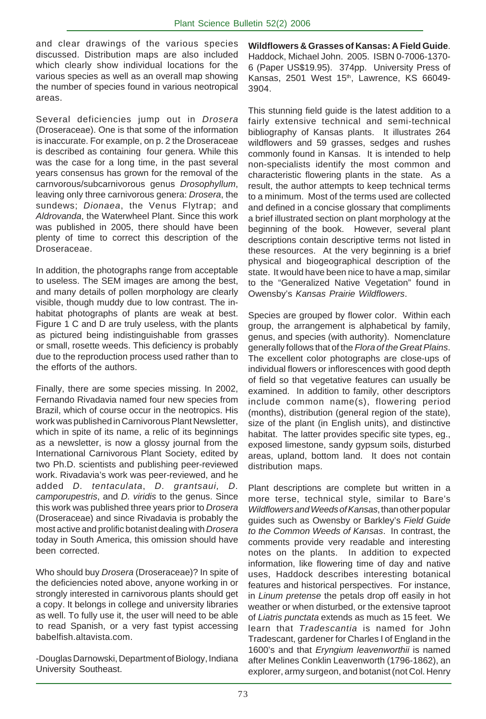and clear drawings of the various species discussed. Distribution maps are also included which clearly show individual locations for the various species as well as an overall map showing the number of species found in various neotropical areas.

Several deficiencies jump out in *Drosera* (Droseraceae). One is that some of the information is inaccurate. For example, on p. 2 the Droseraceae is described as containing four genera. While this was the case for a long time, in the past several years consensus has grown for the removal of the carnvorous/subcarnivorous genus *Drosophyllum*, leaving only three carnivorous genera: *Drosera*, the sundews; *Dionaea*, the Venus Flytrap; and *Aldrovanda*, the Waterwheel Plant. Since this work was published in 2005, there should have been plenty of time to correct this description of the Droseraceae.

In addition, the photographs range from acceptable to useless. The SEM images are among the best, and many details of pollen morphology are clearly visible, though muddy due to low contrast. The inhabitat photographs of plants are weak at best. Figure 1 C and D are truly useless, with the plants as pictured being indistinguishable from grasses or small, rosette weeds. This deficiency is probably due to the reproduction process used rather than to the efforts of the authors.

Finally, there are some species missing. In 2002, Fernando Rivadavia named four new species from Brazil, which of course occur in the neotropics. His work was published in Carnivorous Plant Newsletter, which in spite of its name, a relic of its beginnings as a newsletter, is now a glossy journal from the International Carnivorous Plant Society, edited by two Ph.D. scientists and publishing peer-reviewed work. Rivadavia's work was peer-reviewed, and he added *D. tentaculata*, *D. grantsaui, D. camporupestris*, and *D. viridis* to the genus. Since this work was published three years prior to *Drosera* (Droseraceae) and since Rivadavia is probably the most active and prolific botanist dealing with *Drosera* today in South America, this omission should have been corrected.

Who should buy *Drosera* (Droseraceae)? In spite of the deficiencies noted above, anyone working in or strongly interested in carnivorous plants should get a copy. It belongs in college and university libraries as well. To fully use it, the user will need to be able to read Spanish, or a very fast typist accessing babelfish.altavista.com.

-Douglas Darnowski, Department of Biology, Indiana University Southeast.

**Wildflowers & Grasses of Kansas: A Field Guide**. Haddock, Michael John. 2005. ISBN 0-7006-1370- 6 (Paper US\$19.95). 374pp. University Press of Kansas, 2501 West 15<sup>th</sup>, Lawrence, KS 66049-3904.

This stunning field guide is the latest addition to a fairly extensive technical and semi-technical bibliography of Kansas plants. It illustrates 264 wildflowers and 59 grasses, sedges and rushes commonly found in Kansas. It is intended to help non-specialists identify the most common and characteristic flowering plants in the state. As a result, the author attempts to keep technical terms to a minimum. Most of the terms used are collected and defined in a concise glossary that compliments a brief illustrated section on plant morphology at the beginning of the book. However, several plant descriptions contain descriptive terms not listed in these resources. At the very beginning is a brief physical and biogeographical description of the state. It would have been nice to have a map, similar to the "Generalized Native Vegetation" found in Owensby's *Kansas Prairie Wildflowers*.

Species are grouped by flower color. Within each group, the arrangement is alphabetical by family, genus, and species (with authority). Nomenclature generally follows that of the *Flora of the Great Plains*. The excellent color photographs are close-ups of individual flowers or inflorescences with good depth of field so that vegetative features can usually be examined. In addition to family, other descriptors include common name(s), flowering period (months), distribution (general region of the state), size of the plant (in English units), and distinctive habitat. The latter provides specific site types, eg., exposed limestone, sandy gypsum soils, disturbed areas, upland, bottom land. It does not contain distribution maps.

Plant descriptions are complete but written in a more terse, technical style, similar to Bare's *Wildflowers and Weeds of Kansas*, than other popular guides such as Owensby or Barkley's *Field Guide to the Common Weeds of Kansas*. In contrast, the comments provide very readable and interesting notes on the plants. In addition to expected information, like flowering time of day and native uses, Haddock describes interesting botanical features and historical perspectives. For instance, in *Linum pretense* the petals drop off easily in hot weather or when disturbed, or the extensive taproot of *Liatris punctata* extends as much as 15 feet. We learn that *Tradescantia* is named for John Tradescant, gardener for Charles I of England in the 1600's and that *Eryngium leavenworthii* is named after Melines Conklin Leavenworth (1796-1862), an explorer, army surgeon, and botanist (not Col. Henry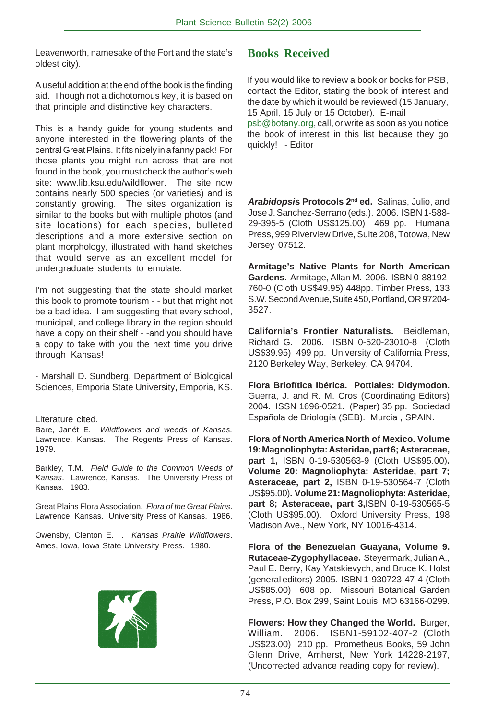Leavenworth, namesake of the Fort and the state's oldest city).

A useful addition at the end of the book is the finding aid. Though not a dichotomous key, it is based on that principle and distinctive key characters.

This is a handy guide for young students and anyone interested in the flowering plants of the central Great Plains. It fits nicely in a fanny pack! For those plants you might run across that are not found in the book, you must check the author's web site: www.lib.ksu.edu/wildflower. The site now contains nearly 500 species (or varieties) and is constantly growing. The sites organization is similar to the books but with multiple photos (and site locations) for each species, bulleted descriptions and a more extensive section on plant morphology, illustrated with hand sketches that would serve as an excellent model for undergraduate students to emulate.

I'm not suggesting that the state should market this book to promote tourism - - but that might not be a bad idea. I am suggesting that every school, municipal, and college library in the region should have a copy on their shelf - -and you should have a copy to take with you the next time you drive through Kansas!

- Marshall D. Sundberg, Department of Biological Sciences, Emporia State University, Emporia, KS.

#### Literature cited.

Bare, Janét E. *Wildflowers and weeds of Kansas.* Lawrence, Kansas. The Regents Press of Kansas. 1979.

Barkley, T.M. *Field Guide to the Common Weeds of Kansas*. Lawrence, Kansas. The University Press of Kansas. 1983.

Great Plains Flora Association. *Flora of the Great Plains*. Lawrence, Kansas. University Press of Kansas. 1986.

Owensby, Clenton E. . *Kansas Prairie Wildflowers*. Ames, Iowa, Iowa State University Press. 1980.



#### **Books Received**

If you would like to review a book or books for PSB, contact the Editor, stating the book of interest and the date by which it would be reviewed (15 January, 15 April, 15 July or 15 October). E-mail psb@botany.org, call, or write as soon as you notice

the book of interest in this list because they go quickly! - Editor

*Arabidopsi***s Protocols 2nd ed.** Salinas, Julio, and Jose J. Sanchez-Serrano (eds.). 2006. ISBN 1-588- 29-395-5 (Cloth US\$125.00) 469 pp. Humana Press, 999 Riverview Drive, Suite 208, Totowa, New Jersey 07512.

**Armitage's Native Plants for North American Gardens.** Armitage, Allan M. 2006. ISBN 0-88192- 760-0 (Cloth US\$49.95) 448pp. Timber Press, 133 S.W. Second Avenue, Suite 450, Portland, OR 97204- 3527.

**California's Frontier Naturalists.** Beidleman, Richard G. 2006. ISBN 0-520-23010-8 (Cloth US\$39.95) 499 pp. University of California Press, 2120 Berkeley Way, Berkeley, CA 94704.

**Flora Briofítica Ibérica. Pottiales: Didymodon.** Guerra, J. and R. M. Cros (Coordinating Editors) 2004. ISSN 1696-0521. (Paper) 35 pp. Sociedad Española de Briología (SEB). Murcia , SPAIN.

**Flora of North America North of Mexico. Volume 19: Magnoliophyta: Asteridae, part 6; Asteraceae, part 1,** ISBN 0-19-530563-9 (Cloth US\$95.00)**. Volume 20: Magnoliophyta: Asteridae, part 7; Asteraceae, part 2,** ISBN 0-19-530564-7 (Cloth US\$95.00)**. Volume 21: Magnoliophyta: Asteridae, part 8; Asteraceae, part 3,**ISBN 0-19-530565-5 (Cloth US\$95.00). Oxford University Press, 198 Madison Ave., New York, NY 10016-4314.

**Flora of the Benezuelan Guayana, Volume 9. Rutaceae-Zygophyllaceae.** Steyermark, Julian A., Paul E. Berry, Kay Yatskievych, and Bruce K. Holst (general editors) 2005. ISBN 1-930723-47-4 (Cloth US\$85.00) 608 pp. Missouri Botanical Garden Press, P.O. Box 299, Saint Louis, MO 63166-0299.

**Flowers: How they Changed the World.** Burger, William. 2006. ISBN1-59102-407-2 (Cloth US\$23.00) 210 pp. Prometheus Books, 59 John Glenn Drive, Amherst, New York 14228-2197, (Uncorrected advance reading copy for review).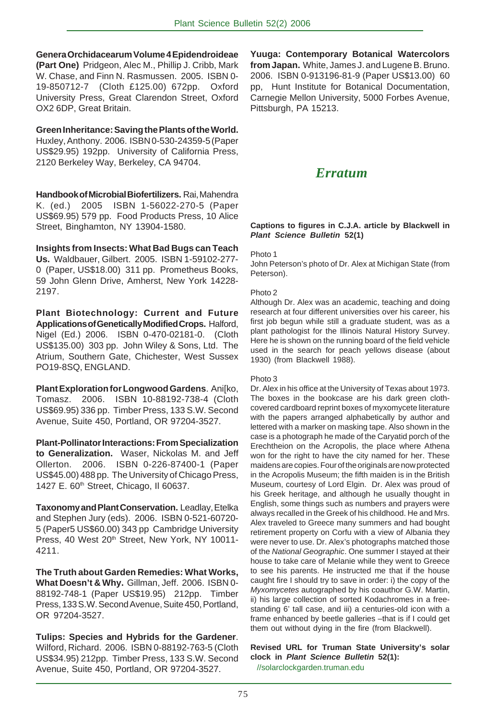**Genera Orchidacearum Volume 4 Epidendroideae (Part One)** Pridgeon, Alec M., Phillip J. Cribb, Mark W. Chase, and Finn N. Rasmussen. 2005. ISBN 0- 19-850712-7 (Cloth £125.00) 672pp. Oxford University Press, Great Clarendon Street, Oxford OX2 6DP, Great Britain.

**Green Inheritance: Saving the Plants of the World.** Huxley, Anthony. 2006. ISBN 0-530-24359-5 (Paper US\$29.95) 192pp. University of California Press,

2120 Berkeley Way, Berkeley, CA 94704.

**Handbook of Microbial Biofertilizers.** Rai, Mahendra K. (ed.) 2005 ISBN 1-56022-270-5 (Paper US\$69.95) 579 pp. Food Products Press, 10 Alice Street, Binghamton, NY 13904-1580.

**Insights from Insects: What Bad Bugs can Teach Us.** Waldbauer, Gilbert. 2005. ISBN 1-59102-277- 0 (Paper, US\$18.00) 311 pp. Prometheus Books, 59 John Glenn Drive, Amherst, New York 14228- 2197.

**Plant Biotechnology: Current and Future Applications of Genetically Modified Crops.** Halford, Nigel (Ed.) 2006. ISBN 0-470-02181-0. (Cloth US\$135.00) 303 pp. John Wiley & Sons, Ltd. The Atrium, Southern Gate, Chichester, West Sussex PO19-8SQ, ENGLAND.

**Plant Exploration for Longwood Gardens**. Ani[ko, Tomasz. 2006. ISBN 10-88192-738-4 (Cloth US\$69.95) 336 pp. Timber Press, 133 S.W. Second Avenue, Suite 450, Portland, OR 97204-3527.

**Plant-Pollinator Interactions: From Specialization to Generalization.** Waser, Nickolas M. and Jeff Ollerton. 2006. ISBN 0-226-87400-1 (Paper US\$45.00) 488 pp. The University of Chicago Press, 1427 E. 60<sup>th</sup> Street, Chicago, Il 60637.

**Taxonomy and Plant Conservation.** Leadlay, Etelka and Stephen Jury (eds). 2006. ISBN 0-521-60720- 5 (Paper5 US\$60.00) 343 pp Cambridge University Press, 40 West 20th Street, New York, NY 10011-4211.

**The Truth about Garden Remedies: What Works, What Doesn't & Why.** Gillman, Jeff. 2006. ISBN 0- 88192-748-1 (Paper US\$19.95) 212pp. Timber Press, 133 S.W. Second Avenue, Suite 450, Portland, OR 97204-3527.

**Tulips: Species and Hybrids for the Gardener**. Wilford, Richard. 2006. ISBN 0-88192-763-5 (Cloth US\$34.95) 212pp. Timber Press, 133 S.W. Second Avenue, Suite 450, Portland, OR 97204-3527.

**Yuuga: Contemporary Botanical Watercolors from Japan.** White, James J. and Lugene B. Bruno. 2006. ISBN 0-913196-81-9 (Paper US\$13.00) 60 pp, Hunt Institute for Botanical Documentation, Carnegie Mellon University, 5000 Forbes Avenue, Pittsburgh, PA 15213.

## *Erratum*

#### **Captions to figures in C.J.A. article by Blackwell in** *Plant Science Bulletin* **52(1)**

#### Photo 1

John Peterson's photo of Dr. Alex at Michigan State (from Peterson).

#### Photo 2

Although Dr. Alex was an academic, teaching and doing research at four different universities over his career, his first job begun while still a graduate student, was as a plant pathologist for the Illinois Natural History Survey. Here he is shown on the running board of the field vehicle used in the search for peach yellows disease (about 1930) (from Blackwell 1988).

#### Photo 3

Dr. Alex in his office at the University of Texas about 1973. The boxes in the bookcase are his dark green clothcovered cardboard reprint boxes of myxomycete literature with the papers arranged alphabetically by author and lettered with a marker on masking tape. Also shown in the case is a photograph he made of the Caryatid porch of the Erechtheion on the Acropolis, the place where Athena won for the right to have the city named for her. These maidens are copies. Four of the originals are now protected in the Acropolis Museum; the fifth maiden is in the British Museum, courtesy of Lord Elgin. Dr. Alex was proud of his Greek heritage, and although he usually thought in English, some things such as numbers and prayers were always recalled in the Greek of his childhood. He and Mrs. Alex traveled to Greece many summers and had bought retirement property on Corfu with a view of Albania they were never to use. Dr. Alex's photographs matched those of the *National Geographic*. One summer I stayed at their house to take care of Melanie while they went to Greece to see his parents. He instructed me that if the house caught fire I should try to save in order: i) the copy of the *Myxomycetes* autographed by his coauthor G.W. Martin, ii) his large collection of sorted Kodachromes in a freestanding 6' tall case, and iii) a centuries-old icon with a frame enhanced by beetle galleries –that is if I could get them out without dying in the fire (from Blackwell).

#### **Revised URL for Truman State University's solar clock in** *Plant Science Bulletin* **52(1):**

//solarclockgarden.truman.edu